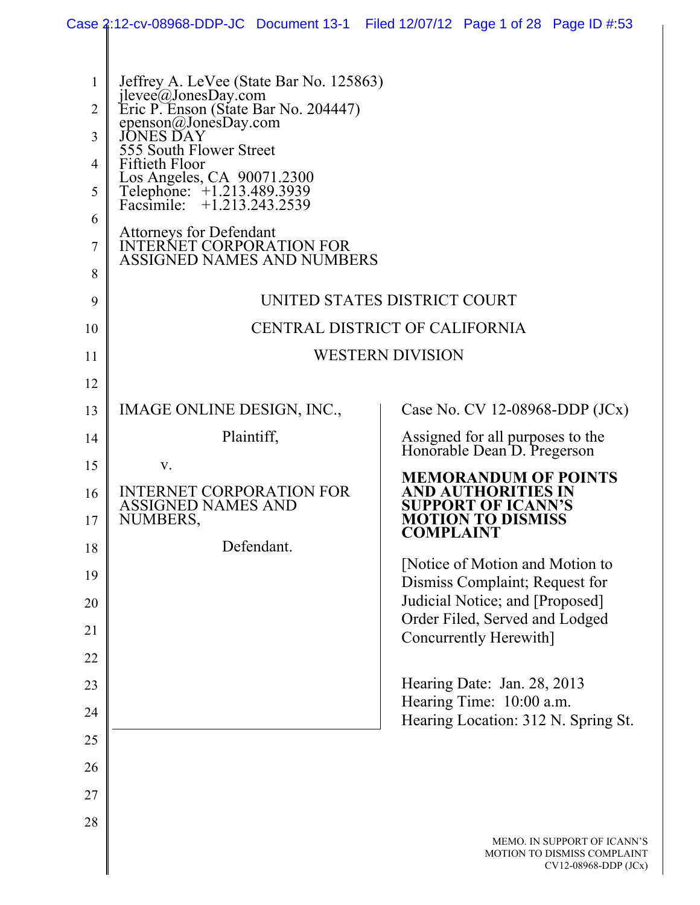|                                         | Case 2:12-cv-08968-DDP-JC Document 13-1 Filed 12/07/12 Page 1 of 28 Page ID #:53                                                                                                                                                                                                                                            |                              |  |                                                                             |                                                                                      |
|-----------------------------------------|-----------------------------------------------------------------------------------------------------------------------------------------------------------------------------------------------------------------------------------------------------------------------------------------------------------------------------|------------------------------|--|-----------------------------------------------------------------------------|--------------------------------------------------------------------------------------|
| 1<br>$\overline{2}$<br>3<br>4<br>5<br>6 | Jeffrey A. LeVee (State Bar No. 125863)<br>jlevee@JonesDay.com<br>Eric P. Enson (State Bar No. 204447)<br>epenson@JonesDay.com<br><b>JONES DAY</b><br>555 South Flower Street<br>Fiftieth Floor<br>Los Angeles, CA 90071.2300<br>Telephone: +1.213.489.3939<br>Facsimile: +1.213.243.2539<br><b>Attorneys for Defendant</b> |                              |  |                                                                             |                                                                                      |
| 7<br>8                                  | <b>INTERNET CORPORATION FOR</b><br>ASSIGNED NAMES AND NUMBERS                                                                                                                                                                                                                                                               |                              |  |                                                                             |                                                                                      |
| 9                                       |                                                                                                                                                                                                                                                                                                                             | UNITED STATES DISTRICT COURT |  |                                                                             |                                                                                      |
| 10                                      | CENTRAL DISTRICT OF CALIFORNIA                                                                                                                                                                                                                                                                                              |                              |  |                                                                             |                                                                                      |
| 11                                      | <b>WESTERN DIVISION</b>                                                                                                                                                                                                                                                                                                     |                              |  |                                                                             |                                                                                      |
| 12                                      |                                                                                                                                                                                                                                                                                                                             |                              |  |                                                                             |                                                                                      |
| 13                                      | IMAGE ONLINE DESIGN, INC.,                                                                                                                                                                                                                                                                                                  |                              |  | Case No. CV 12-08968-DDP (JCx)                                              |                                                                                      |
| 14                                      |                                                                                                                                                                                                                                                                                                                             | Plaintiff,                   |  | Assigned for all purposes to the<br>Honorable Dean D. Pregerson             |                                                                                      |
| 15                                      | V.                                                                                                                                                                                                                                                                                                                          |                              |  | <b>MEMORANDUM OF POINTS</b>                                                 |                                                                                      |
| 16<br>17                                | <b>INTERNET CORPORATION FOR</b><br><b>ASSIGNED NAMES AND</b><br><b>NUMBERS</b>                                                                                                                                                                                                                                              |                              |  | AND AUTHORITIES IN<br><b>SUPPORT OF ICANN'S</b><br><b>MOTION TO DISMISS</b> |                                                                                      |
| 18                                      |                                                                                                                                                                                                                                                                                                                             | Defendant.                   |  | <b>COMPLAINT</b>                                                            |                                                                                      |
| 19                                      |                                                                                                                                                                                                                                                                                                                             |                              |  | [Notice of Motion and Motion to<br>Dismiss Complaint; Request for           |                                                                                      |
| 20                                      |                                                                                                                                                                                                                                                                                                                             |                              |  | Judicial Notice; and [Proposed]                                             |                                                                                      |
| 21                                      |                                                                                                                                                                                                                                                                                                                             |                              |  | Order Filed, Served and Lodged<br>Concurrently Herewith]                    |                                                                                      |
| 22                                      |                                                                                                                                                                                                                                                                                                                             |                              |  |                                                                             |                                                                                      |
| 23                                      |                                                                                                                                                                                                                                                                                                                             |                              |  | Hearing Date: Jan. 28, 2013                                                 |                                                                                      |
| 24                                      |                                                                                                                                                                                                                                                                                                                             |                              |  | Hearing Time: 10:00 a.m.<br>Hearing Location: 312 N. Spring St.             |                                                                                      |
| 25                                      |                                                                                                                                                                                                                                                                                                                             |                              |  |                                                                             |                                                                                      |
| 26                                      |                                                                                                                                                                                                                                                                                                                             |                              |  |                                                                             |                                                                                      |
| 27                                      |                                                                                                                                                                                                                                                                                                                             |                              |  |                                                                             |                                                                                      |
| 28                                      |                                                                                                                                                                                                                                                                                                                             |                              |  |                                                                             | MEMO. IN SUPPORT OF ICANN'S<br>MOTION TO DISMISS COMPLAINT<br>$CV12-08968-DDP (JCx)$ |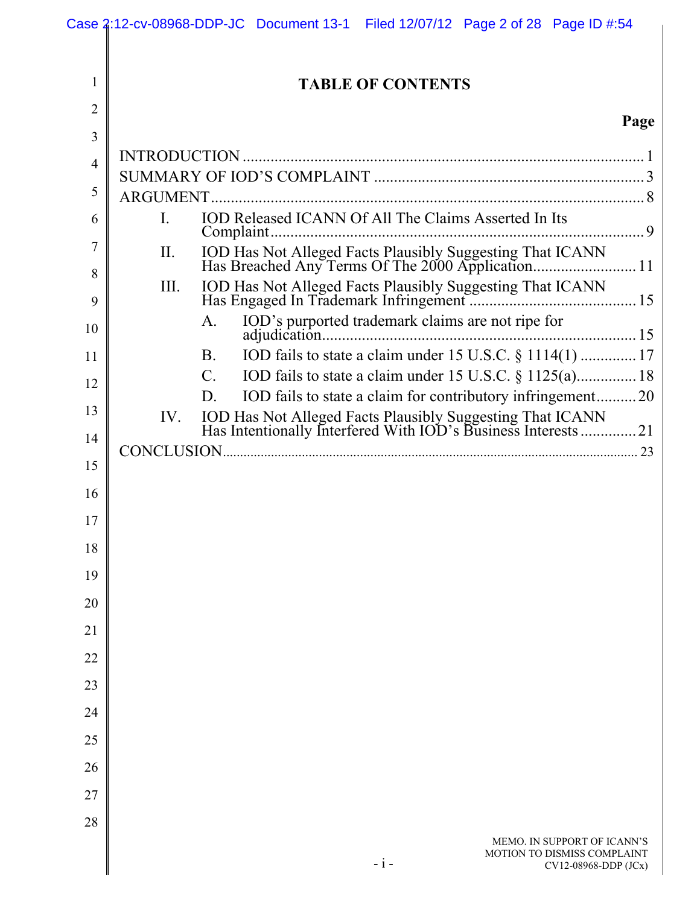|                | Case 2:12-cv-08968-DDP-JC Document 13-1 Filed 12/07/12 Page 2 of 28 Page ID #:54                                           |
|----------------|----------------------------------------------------------------------------------------------------------------------------|
| 1              | <b>TABLE OF CONTENTS</b>                                                                                                   |
| $\overline{2}$ |                                                                                                                            |
| 3              | Page                                                                                                                       |
| $\overline{4}$ |                                                                                                                            |
| 5              |                                                                                                                            |
| 6              | IOD Released ICANN Of All The Claims Asserted In Its<br>$\rm I$ .                                                          |
|                |                                                                                                                            |
| 7              | II.                                                                                                                        |
| 8<br>9         | III.                                                                                                                       |
| 10             | A.                                                                                                                         |
| 11             | <b>B</b> .                                                                                                                 |
| 12             | $\mathcal{C}$ .                                                                                                            |
| 13             | IOD fails to state a claim for contributory infringement20<br>D.<br>IV.                                                    |
| 14             | IOD Has Not Alleged Facts Plausibly Suggesting That ICANN<br>Has Intentionally Interfered With IOD's Business Interests 21 |
| 15             |                                                                                                                            |
| 16             |                                                                                                                            |
| 17             |                                                                                                                            |
|                |                                                                                                                            |
| 18             |                                                                                                                            |
| 19             |                                                                                                                            |
| 20             |                                                                                                                            |
| 21             |                                                                                                                            |
| 22             |                                                                                                                            |
| 23             |                                                                                                                            |
| 24             |                                                                                                                            |
| 25             |                                                                                                                            |
| 26             |                                                                                                                            |
| 27             |                                                                                                                            |
|                |                                                                                                                            |
| 28             | MEMO. IN SUPPORT OF ICANN'S<br>MOTION TO DISMISS COMPLAINT<br>$-i-$<br>CV12-08968-DDP (JCx)                                |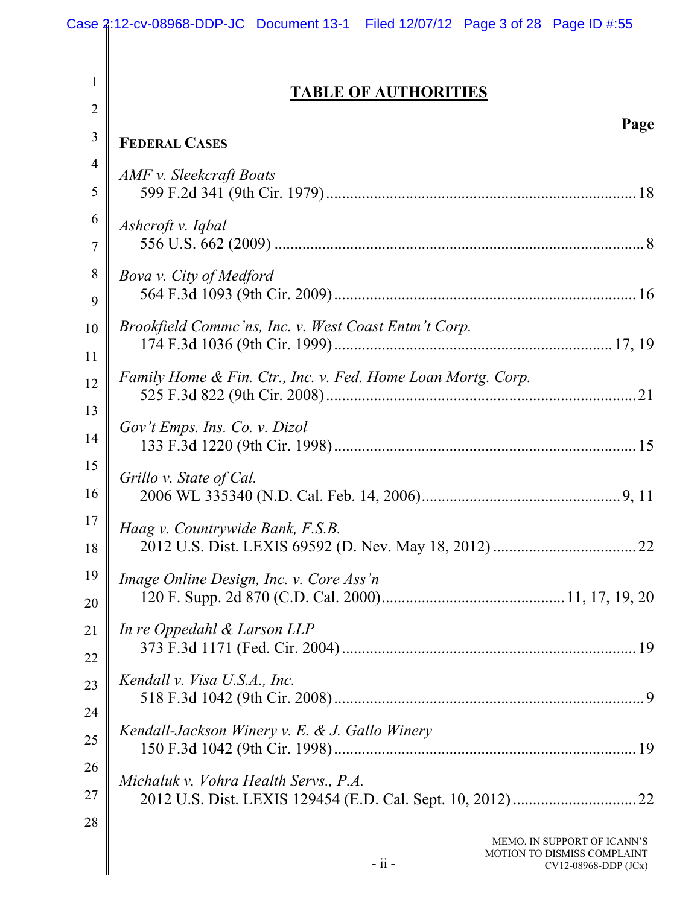|                | Case 2:12-cv-08968-DDP-JC Document 13-1 Filed 12/07/12 Page 3 of 28 Page ID #:55                 |
|----------------|--------------------------------------------------------------------------------------------------|
|                |                                                                                                  |
| 1              | <b>TABLE OF AUTHORITIES</b>                                                                      |
| 2              | Page                                                                                             |
| 3              | <b>FEDERAL CASES</b>                                                                             |
| $\overline{4}$ | AMF v. Sleekcraft Boats                                                                          |
| 5              |                                                                                                  |
| 6<br>7         | Ashcroft v. Iqbal                                                                                |
| 8              | Bova v. City of Medford                                                                          |
| 9              |                                                                                                  |
| 10             | Brookfield Commc'ns, Inc. v. West Coast Entm't Corp.                                             |
| 11             | Family Home & Fin. Ctr., Inc. v. Fed. Home Loan Mortg. Corp.                                     |
| 12             |                                                                                                  |
| 13<br>14       | Gov't Emps. Ins. Co. v. Dizol                                                                    |
| 15             |                                                                                                  |
| 16             | Grillo v. State of Cal.                                                                          |
| 17<br>18       | Haag v. Countrywide Bank, F.S.B.                                                                 |
| 19             | Image Online Design, Inc. v. Core Ass'n                                                          |
| 20             |                                                                                                  |
| 21             | In re Oppedahl & Larson LLP                                                                      |
| 22             |                                                                                                  |
| 23             | Kendall v. Visa U.S.A., Inc.                                                                     |
| 24             |                                                                                                  |
| 25             | Kendall-Jackson Winery v. E. & J. Gallo Winery                                                   |
| 26             | Michaluk v. Vohra Health Servs., P.A.                                                            |
| 27             |                                                                                                  |
| 28             | MEMO. IN SUPPORT OF ICANN'S<br>MOTION TO DISMISS COMPLAINT<br>$-$ ii $-$<br>CV12-08968-DDP (JCx) |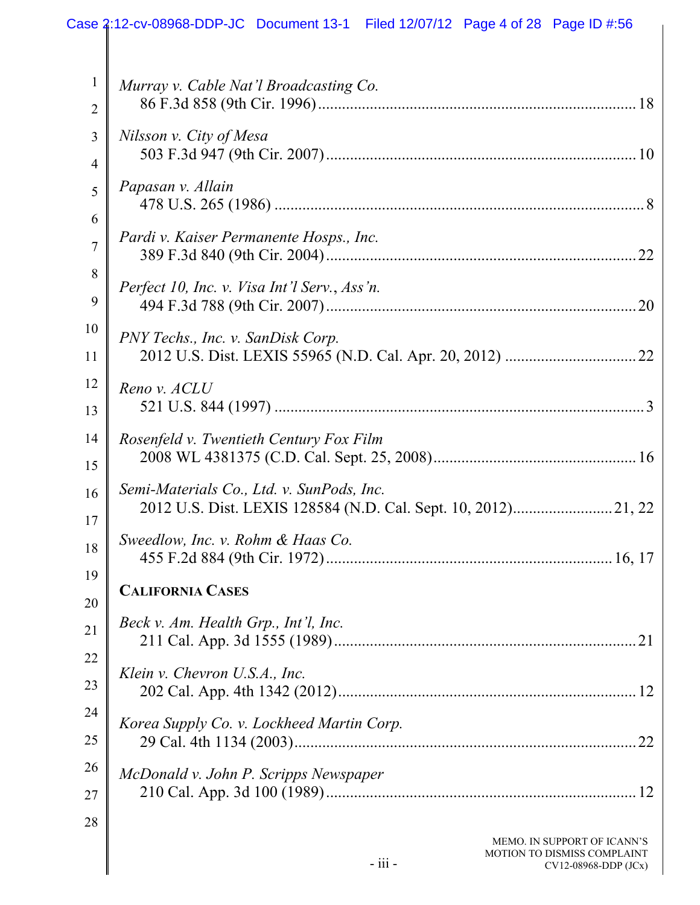|                | Case 2:12-cv-08968-DDP-JC Document 13-1 Filed 12/07/12 Page 4 of 28 Page ID #:56 |
|----------------|----------------------------------------------------------------------------------|
| 1              | Murray v. Cable Nat'l Broadcasting Co.                                           |
| $\overline{2}$ |                                                                                  |
| 3              | Nilsson v. City of Mesa                                                          |
| $\overline{4}$ |                                                                                  |
| 5              | Papasan v. Allain                                                                |
| 6              |                                                                                  |
| $\overline{7}$ | Pardi v. Kaiser Permanente Hosps., Inc.                                          |
| 8              | Perfect 10, Inc. v. Visa Int'l Serv., Ass'n.                                     |
| 9              | .20                                                                              |
| 10             | PNY Techs., Inc. v. SanDisk Corp.                                                |
| 11             |                                                                                  |
| 12             | Reno v. ACLU                                                                     |
| 13             |                                                                                  |
| 14             | Rosenfeld v. Twentieth Century Fox Film                                          |
| 15             |                                                                                  |
| 16             | Semi-Materials Co., Ltd. v. SunPods, Inc.                                        |
| 17             | Sweedlow, Inc. v. Rohm & Haas Co.                                                |
| 18             |                                                                                  |
| 19             | <b>CALIFORNIA CASES</b>                                                          |
| 20             | Beck v. Am. Health Grp., Int'l, Inc.                                             |
| 21             |                                                                                  |
| 22             | Klein v. Chevron U.S.A., Inc.                                                    |
| 23             |                                                                                  |
| 24             | Korea Supply Co. v. Lockheed Martin Corp.                                        |
| 25             | .22                                                                              |
| 26             | McDonald v. John P. Scripps Newspaper                                            |
| 27             |                                                                                  |
| 28             | MEMO. IN SUPPORT OF ICANN'S                                                      |
|                | MOTION TO DISMISS COMPLAINT<br>$-iii -$<br>CV12-08968-DDP (JCx)                  |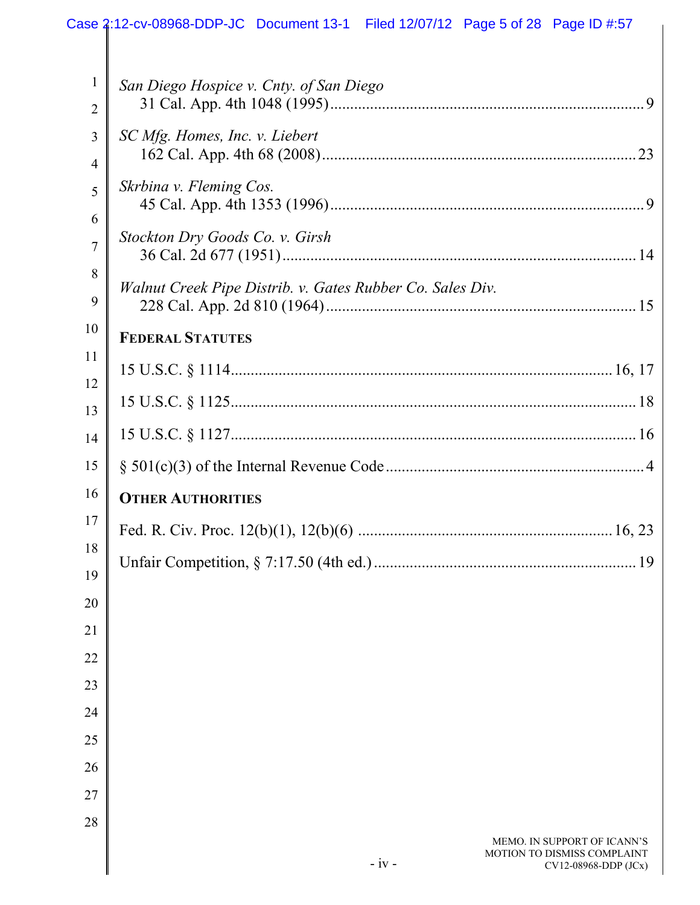|                | Case 2:12-cv-08968-DDP-JC Document 13-1 Filed 12/07/12 Page 5 of 28 Page ID #:57              |
|----------------|-----------------------------------------------------------------------------------------------|
| $\mathbf{1}$   | San Diego Hospice v. Cnty. of San Diego                                                       |
| $\overline{2}$ |                                                                                               |
| 3              | SC Mfg. Homes, Inc. v. Liebert                                                                |
| 4              |                                                                                               |
| 5              | Skrbina v. Fleming Cos.                                                                       |
| 6              |                                                                                               |
| 7              | Stockton Dry Goods Co. v. Girsh                                                               |
| 8              | Walnut Creek Pipe Distrib. v. Gates Rubber Co. Sales Div.                                     |
| 9              |                                                                                               |
| 10             | <b>FEDERAL STATUTES</b>                                                                       |
| 11             |                                                                                               |
| 12             |                                                                                               |
| 13             |                                                                                               |
| 14             |                                                                                               |
| 15             |                                                                                               |
| 16             | <b>OTHER AUTHORITIES</b>                                                                      |
| 17             |                                                                                               |
| 18             |                                                                                               |
| 19<br>20       |                                                                                               |
| 21             |                                                                                               |
| 22             |                                                                                               |
| 23             |                                                                                               |
| 24             |                                                                                               |
| 25             |                                                                                               |
| 26             |                                                                                               |
| 27             |                                                                                               |
| 28             |                                                                                               |
|                | MEMO. IN SUPPORT OF ICANN'S<br>MOTION TO DISMISS COMPLAINT<br>$-iv -$<br>CV12-08968-DDP (JCx) |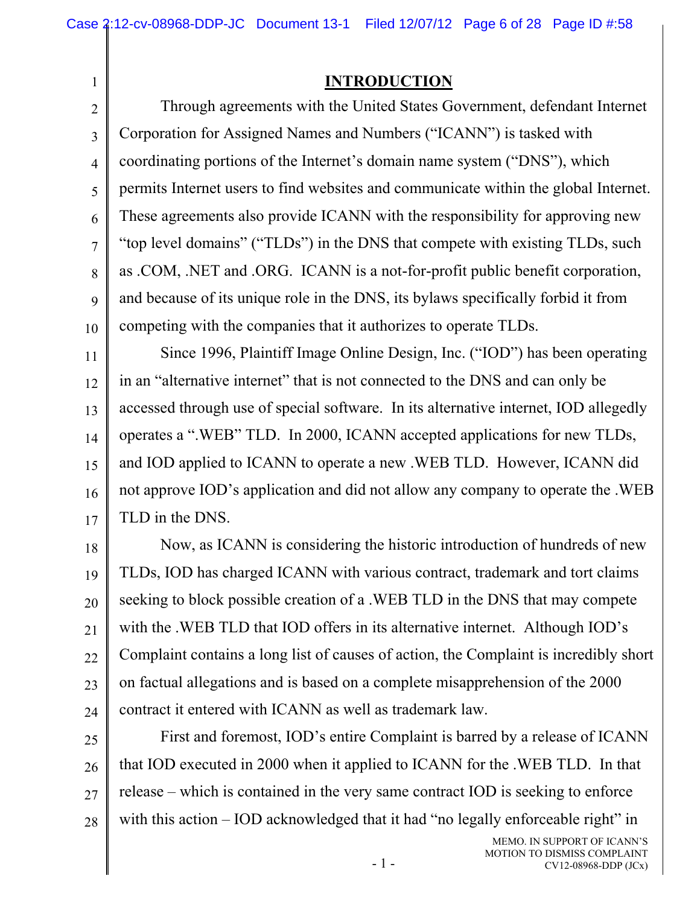1

### **INTRODUCTION**

2 3 4 5 6 7 8 9 10 Through agreements with the United States Government, defendant Internet Corporation for Assigned Names and Numbers ("ICANN") is tasked with coordinating portions of the Internet's domain name system ("DNS"), which permits Internet users to find websites and communicate within the global Internet. These agreements also provide ICANN with the responsibility for approving new "top level domains" ("TLDs") in the DNS that compete with existing TLDs, such as .COM, .NET and .ORG. ICANN is a not-for-profit public benefit corporation, and because of its unique role in the DNS, its bylaws specifically forbid it from competing with the companies that it authorizes to operate TLDs.

11 12 13 14 15 16 17 Since 1996, Plaintiff Image Online Design, Inc. ("IOD") has been operating in an "alternative internet" that is not connected to the DNS and can only be accessed through use of special software. In its alternative internet, IOD allegedly operates a ".WEB" TLD. In 2000, ICANN accepted applications for new TLDs, and IOD applied to ICANN to operate a new .WEB TLD. However, ICANN did not approve IOD's application and did not allow any company to operate the .WEB TLD in the DNS.

18 19 20 21 22 23 24 Now, as ICANN is considering the historic introduction of hundreds of new TLDs, IOD has charged ICANN with various contract, trademark and tort claims seeking to block possible creation of a .WEB TLD in the DNS that may compete with the .WEB TLD that IOD offers in its alternative internet. Although IOD's Complaint contains a long list of causes of action, the Complaint is incredibly short on factual allegations and is based on a complete misapprehension of the 2000 contract it entered with ICANN as well as trademark law.

25 26 27 28 First and foremost, IOD's entire Complaint is barred by a release of ICANN that IOD executed in 2000 when it applied to ICANN for the .WEB TLD. In that release – which is contained in the very same contract IOD is seeking to enforce with this action – IOD acknowledged that it had "no legally enforceable right" in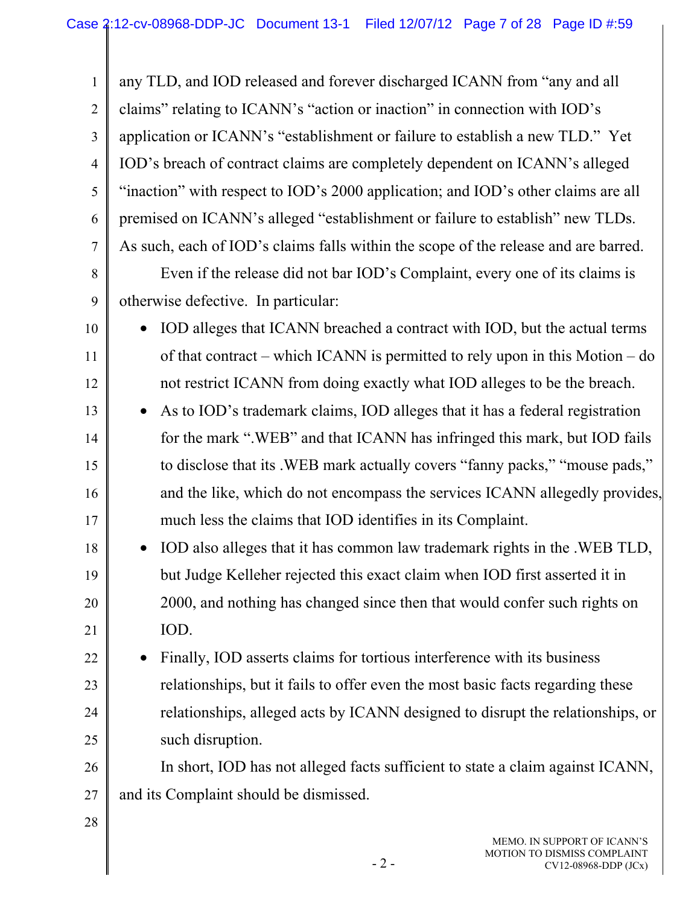1 2 3 4 5 6 7 8 9 10 11 12 13 14 15 16 17 18 19 20 21 22 23 24 25 26 27 28 any TLD, and IOD released and forever discharged ICANN from "any and all claims" relating to ICANN's "action or inaction" in connection with IOD's application or ICANN's "establishment or failure to establish a new TLD." Yet IOD's breach of contract claims are completely dependent on ICANN's alleged "inaction" with respect to IOD's 2000 application; and IOD's other claims are all premised on ICANN's alleged "establishment or failure to establish" new TLDs. As such, each of IOD's claims falls within the scope of the release and are barred. Even if the release did not bar IOD's Complaint, every one of its claims is otherwise defective. In particular: • IOD alleges that ICANN breached a contract with IOD, but the actual terms of that contract – which ICANN is permitted to rely upon in this Motion – do not restrict ICANN from doing exactly what IOD alleges to be the breach. • As to IOD's trademark claims, IOD alleges that it has a federal registration for the mark ".WEB" and that ICANN has infringed this mark, but IOD fails to disclose that its .WEB mark actually covers "fanny packs," "mouse pads," and the like, which do not encompass the services ICANN allegedly provides, much less the claims that IOD identifies in its Complaint. • IOD also alleges that it has common law trademark rights in the .WEB TLD, but Judge Kelleher rejected this exact claim when IOD first asserted it in 2000, and nothing has changed since then that would confer such rights on IOD. • Finally, IOD asserts claims for tortious interference with its business relationships, but it fails to offer even the most basic facts regarding these relationships, alleged acts by ICANN designed to disrupt the relationships, or such disruption. In short, IOD has not alleged facts sufficient to state a claim against ICANN, and its Complaint should be dismissed.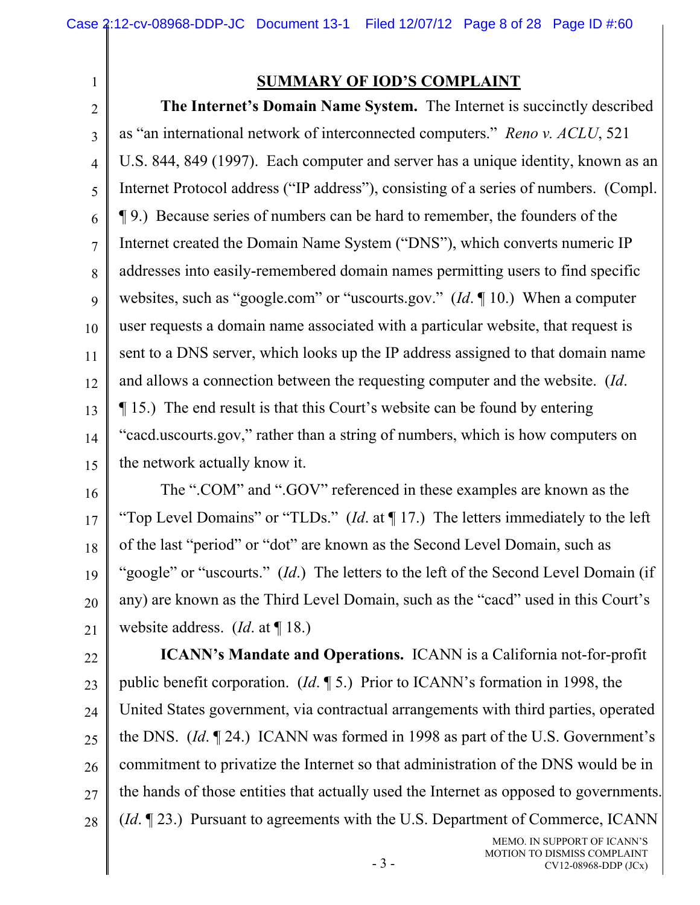1

## **SUMMARY OF IOD'S COMPLAINT**

2 3 4 5 6 7 8 9 10 11 12 13 14 15 **The Internet's Domain Name System.** The Internet is succinctly described as "an international network of interconnected computers." *Reno v. ACLU*, 521 U.S. 844, 849 (1997). Each computer and server has a unique identity, known as an Internet Protocol address ("IP address"), consisting of a series of numbers. (Compl. ¶ 9.) Because series of numbers can be hard to remember, the founders of the Internet created the Domain Name System ("DNS"), which converts numeric IP addresses into easily-remembered domain names permitting users to find specific websites, such as "google.com" or "uscourts.gov." (*Id*. ¶ 10.) When a computer user requests a domain name associated with a particular website, that request is sent to a DNS server, which looks up the IP address assigned to that domain name and allows a connection between the requesting computer and the website. (*Id*. ¶ 15.) The end result is that this Court's website can be found by entering "cacd.uscourts.gov," rather than a string of numbers, which is how computers on the network actually know it.

16 17 18 19 20 21 The ".COM" and ".GOV" referenced in these examples are known as the "Top Level Domains" or "TLDs." (*Id*. at ¶ 17.) The letters immediately to the left of the last "period" or "dot" are known as the Second Level Domain, such as "google" or "uscourts." (*Id*.) The letters to the left of the Second Level Domain (if any) are known as the Third Level Domain, such as the "cacd" used in this Court's website address. (*Id*. at ¶ 18.)

22 23 24 25 26 27 28 **ICANN's Mandate and Operations.** ICANN is a California not-for-profit public benefit corporation. (*Id*. ¶ 5.) Prior to ICANN's formation in 1998, the United States government, via contractual arrangements with third parties, operated the DNS. (*Id*. ¶ 24.) ICANN was formed in 1998 as part of the U.S. Government's commitment to privatize the Internet so that administration of the DNS would be in the hands of those entities that actually used the Internet as opposed to governments. (*Id*. ¶ 23.) Pursuant to agreements with the U.S. Department of Commerce, ICANN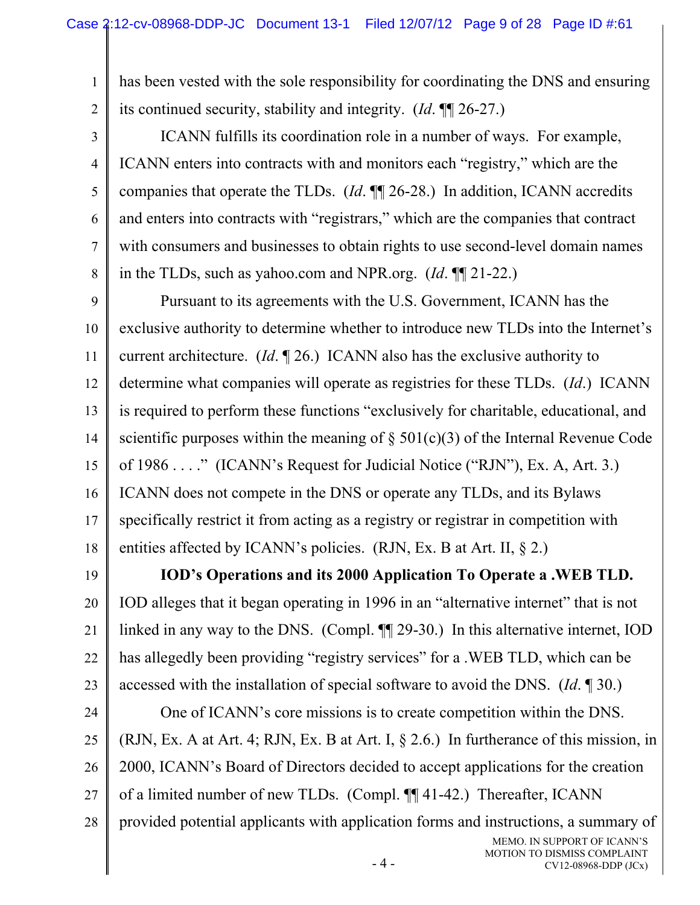1

2

3

4

5

6

7

8

has been vested with the sole responsibility for coordinating the DNS and ensuring its continued security, stability and integrity. (*Id*. ¶¶ 26-27.)

ICANN fulfills its coordination role in a number of ways. For example, ICANN enters into contracts with and monitors each "registry," which are the companies that operate the TLDs. (*Id*. ¶¶ 26-28.) In addition, ICANN accredits and enters into contracts with "registrars," which are the companies that contract with consumers and businesses to obtain rights to use second-level domain names in the TLDs, such as yahoo.com and NPR.org. (*Id*. ¶¶ 21-22.)

9 10 11 12 13 14 15 16 17 18 Pursuant to its agreements with the U.S. Government, ICANN has the exclusive authority to determine whether to introduce new TLDs into the Internet's current architecture. (*Id*. ¶ 26.) ICANN also has the exclusive authority to determine what companies will operate as registries for these TLDs. (*Id*.) ICANN is required to perform these functions "exclusively for charitable, educational, and scientific purposes within the meaning of  $\S$  501(c)(3) of the Internal Revenue Code of 1986 . . . ." (ICANN's Request for Judicial Notice ("RJN"), Ex. A, Art. 3.) ICANN does not compete in the DNS or operate any TLDs, and its Bylaws specifically restrict it from acting as a registry or registrar in competition with entities affected by ICANN's policies. (RJN, Ex. B at Art. II, § 2.)

19 20 21 22 23 **IOD's Operations and its 2000 Application To Operate a .WEB TLD.**  IOD alleges that it began operating in 1996 in an "alternative internet" that is not linked in any way to the DNS. (Compl. ¶¶ 29-30.) In this alternative internet, IOD has allegedly been providing "registry services" for a .WEB TLD, which can be accessed with the installation of special software to avoid the DNS. (*Id*. ¶ 30.)

24 25 26 27 28 One of ICANN's core missions is to create competition within the DNS. (RJN, Ex. A at Art. 4; RJN, Ex. B at Art. I, § 2.6.) In furtherance of this mission, in 2000, ICANN's Board of Directors decided to accept applications for the creation of a limited number of new TLDs. (Compl. ¶¶ 41-42.) Thereafter, ICANN provided potential applicants with application forms and instructions, a summary of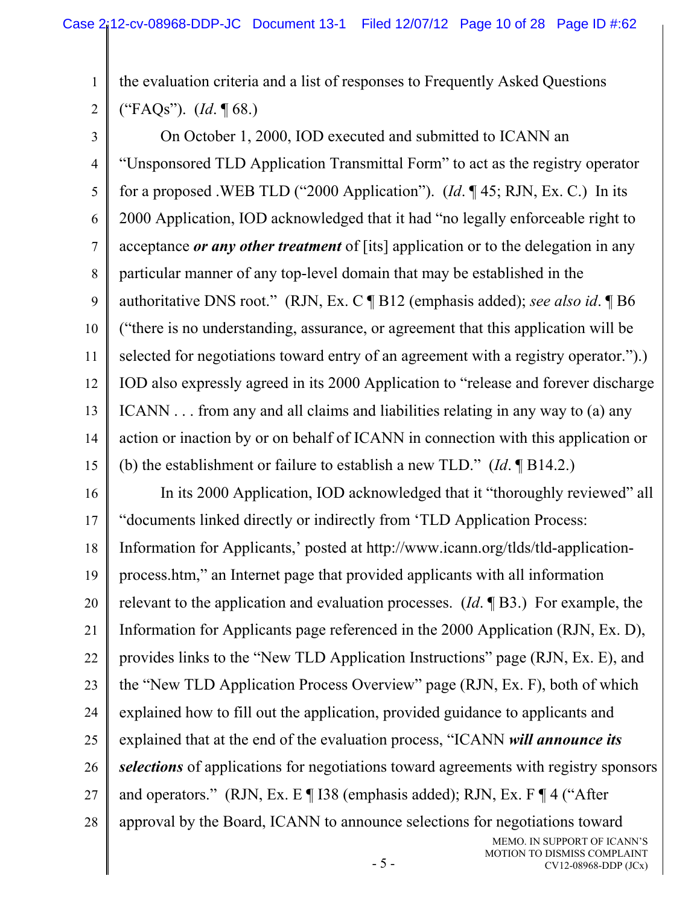the evaluation criteria and a list of responses to Frequently Asked Questions ("FAQs"). (*Id*. ¶ 68.)

1

2

3 4 5 6 7 8 9 10 11 12 13 14 15 On October 1, 2000, IOD executed and submitted to ICANN an "Unsponsored TLD Application Transmittal Form" to act as the registry operator for a proposed .WEB TLD ("2000 Application"). (*Id*. ¶ 45; RJN, Ex. C.) In its 2000 Application, IOD acknowledged that it had "no legally enforceable right to acceptance *or any other treatment* of [its] application or to the delegation in any particular manner of any top-level domain that may be established in the authoritative DNS root." (RJN, Ex. C ¶ B12 (emphasis added); *see also id*. ¶ B6 ("there is no understanding, assurance, or agreement that this application will be selected for negotiations toward entry of an agreement with a registry operator.").) IOD also expressly agreed in its 2000 Application to "release and forever discharge ICANN . . . from any and all claims and liabilities relating in any way to (a) any action or inaction by or on behalf of ICANN in connection with this application or (b) the establishment or failure to establish a new TLD." (*Id*. ¶ B14.2.)

16 17 18 19 20 21 22 23 24 25 26 27 28 In its 2000 Application, IOD acknowledged that it "thoroughly reviewed" all "documents linked directly or indirectly from 'TLD Application Process: Information for Applicants,' posted at http://www.icann.org/tlds/tld-applicationprocess.htm," an Internet page that provided applicants with all information relevant to the application and evaluation processes. (*Id*. ¶ B3.) For example, the Information for Applicants page referenced in the 2000 Application (RJN, Ex. D), provides links to the "New TLD Application Instructions" page (RJN, Ex. E), and the "New TLD Application Process Overview" page (RJN, Ex. F), both of which explained how to fill out the application, provided guidance to applicants and explained that at the end of the evaluation process, "ICANN *will announce its selections* of applications for negotiations toward agreements with registry sponsors and operators." (RJN, Ex. E ¶ I38 (emphasis added); RJN, Ex. F ¶ 4 ("After approval by the Board, ICANN to announce selections for negotiations toward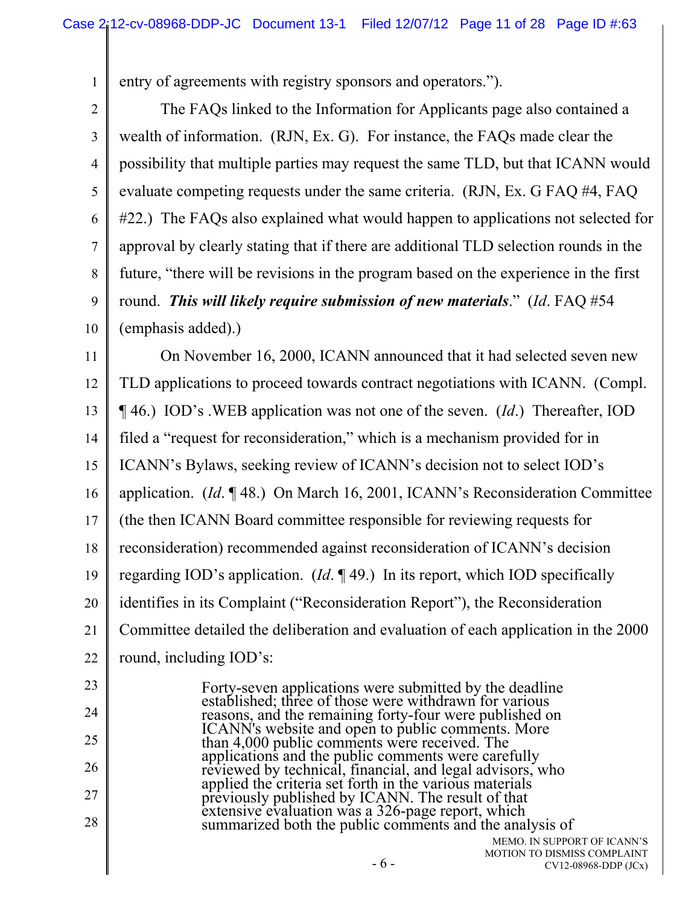entry of agreements with registry sponsors and operators.").

1

2 3 4 5 6 7 8 9 10 11 12 13 14 15 16 17 18 19 20 21 22 23 24 25 26 27 The FAQs linked to the Information for Applicants page also contained a wealth of information. (RJN, Ex. G). For instance, the FAQs made clear the possibility that multiple parties may request the same TLD, but that ICANN would evaluate competing requests under the same criteria. (RJN, Ex. G FAQ #4, FAQ #22.) The FAQs also explained what would happen to applications not selected for approval by clearly stating that if there are additional TLD selection rounds in the future, "there will be revisions in the program based on the experience in the first round. *This will likely require submission of new materials*." (*Id*. FAQ #54 (emphasis added).) On November 16, 2000, ICANN announced that it had selected seven new TLD applications to proceed towards contract negotiations with ICANN. (Compl. ¶ 46.) IOD's .WEB application was not one of the seven. (*Id*.) Thereafter, IOD filed a "request for reconsideration," which is a mechanism provided for in ICANN's Bylaws, seeking review of ICANN's decision not to select IOD's application. (*Id*. ¶ 48.) On March 16, 2001, ICANN's Reconsideration Committee (the then ICANN Board committee responsible for reviewing requests for reconsideration) recommended against reconsideration of ICANN's decision regarding IOD's application. (*Id*. ¶ 49.) In its report, which IOD specifically identifies in its Complaint ("Reconsideration Report"), the Reconsideration Committee detailed the deliberation and evaluation of each application in the 2000 round, including IOD's: Forty-seven applications were submitted by the deadline established; three of those were withdrawn for various reasons, and the remaining forty-four were published on ICANN's website and open to public comments. More ICANN's website and open to public comments. More than 4,000 public comments were received. The applications and the public comments were carefully reviewed by technical, financial, and legal advisors, who applied the criteria set forth in the various materials previously published by ICANN. The result of that

28 extensive evaluation was a 326-page report, which summarized both the public comments and the analysis of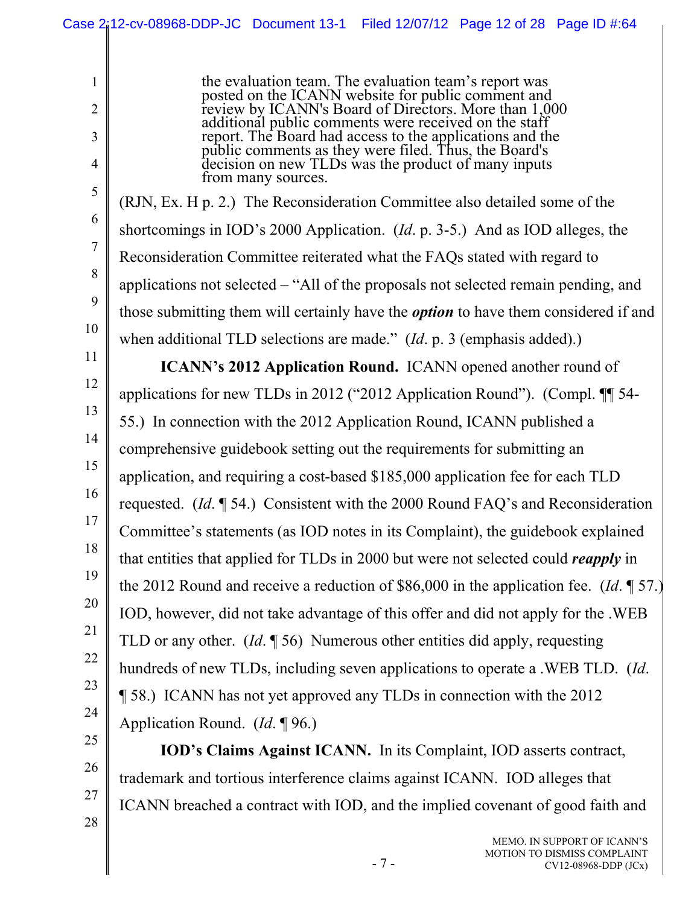1 2 3 4 5 6 7 8 9 10 11 12 13 14 15 16 17 18 19 20 21 22 23 24 25 26 the evaluation team. The evaluation team's report was posted on the ICANN website for public comment and review by ICANN's Board of Directors. More than 1,000 additional public comments were received on the staff report. The Board had access to the applications and the public comments as they were filed. Thus, the Board's decision on new TLDs was the product of many inputs from many sources. (RJN, Ex. H p. 2.) The Reconsideration Committee also detailed some of the shortcomings in IOD's 2000 Application. (*Id*. p. 3-5.) And as IOD alleges, the Reconsideration Committee reiterated what the FAQs stated with regard to applications not selected – "All of the proposals not selected remain pending, and those submitting them will certainly have the *option* to have them considered if and when additional TLD selections are made." (*Id*. p. 3 (emphasis added).) **ICANN's 2012 Application Round.** ICANN opened another round of applications for new TLDs in 2012 ("2012 Application Round"). (Compl. ¶¶ 54- 55.) In connection with the 2012 Application Round, ICANN published a comprehensive guidebook setting out the requirements for submitting an application, and requiring a cost-based \$185,000 application fee for each TLD requested. (*Id*. ¶ 54.) Consistent with the 2000 Round FAQ's and Reconsideration Committee's statements (as IOD notes in its Complaint), the guidebook explained that entities that applied for TLDs in 2000 but were not selected could *reapply* in the 2012 Round and receive a reduction of \$86,000 in the application fee. (*Id*. ¶ 57.) IOD, however, did not take advantage of this offer and did not apply for the .WEB TLD or any other. (*Id*. ¶ 56) Numerous other entities did apply, requesting hundreds of new TLDs, including seven applications to operate a .WEB TLD. (*Id*. ¶ 58.) ICANN has not yet approved any TLDs in connection with the 2012 Application Round. (*Id*. ¶ 96.) **IOD's Claims Against ICANN.** In its Complaint, IOD asserts contract, Case 2:12-cv-08968-DDP-JC Document 13-1 Filed 12/07/12 Page 12 of 28 Page ID #:64

trademark and tortious interference claims against ICANN. IOD alleges that ICANN breached a contract with IOD, and the implied covenant of good faith and

27

28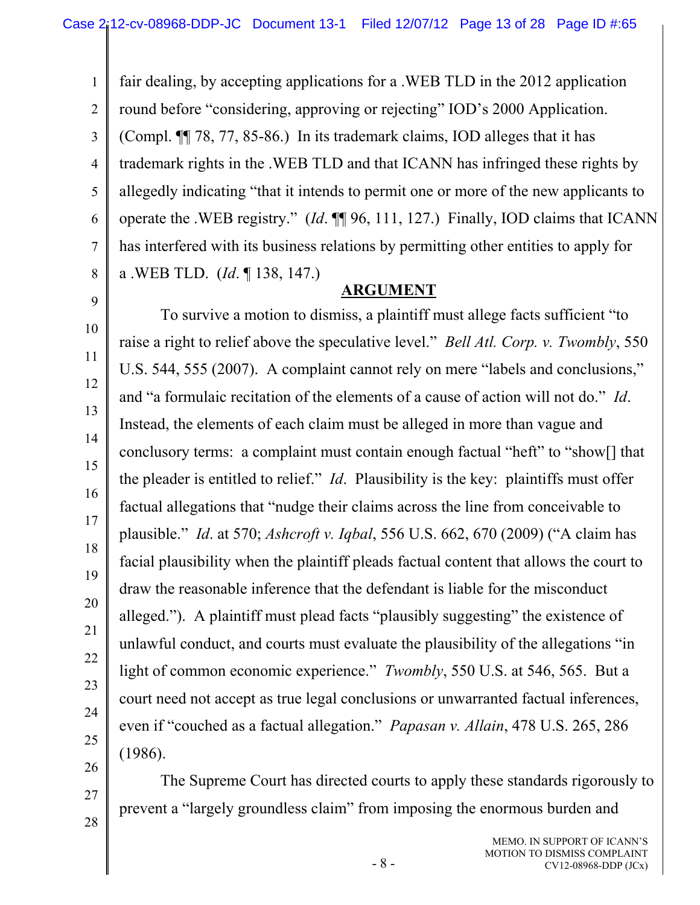1 2 3 4 5 6 7 8 fair dealing, by accepting applications for a .WEB TLD in the 2012 application round before "considering, approving or rejecting" IOD's 2000 Application. (Compl. ¶¶ 78, 77, 85-86.) In its trademark claims, IOD alleges that it has trademark rights in the .WEB TLD and that ICANN has infringed these rights by allegedly indicating "that it intends to permit one or more of the new applicants to operate the .WEB registry." (*Id*. ¶¶ 96, 111, 127.) Finally, IOD claims that ICANN has interfered with its business relations by permitting other entities to apply for a .WEB TLD. (*Id*. ¶ 138, 147.)

9

10

11

12

13

14

15

16

17

18

19

20

21

22

23

24

25

26

27

28

### **ARGUMENT**

To survive a motion to dismiss, a plaintiff must allege facts sufficient "to raise a right to relief above the speculative level." *Bell Atl. Corp. v. Twombly*, 550 U.S. 544, 555 (2007). A complaint cannot rely on mere "labels and conclusions," and "a formulaic recitation of the elements of a cause of action will not do." *Id*. Instead, the elements of each claim must be alleged in more than vague and conclusory terms: a complaint must contain enough factual "heft" to "show[] that the pleader is entitled to relief." *Id*. Plausibility is the key: plaintiffs must offer factual allegations that "nudge their claims across the line from conceivable to plausible." *Id*. at 570; *Ashcroft v. Iqbal*, 556 U.S. 662, 670 (2009) ("A claim has facial plausibility when the plaintiff pleads factual content that allows the court to draw the reasonable inference that the defendant is liable for the misconduct alleged."). A plaintiff must plead facts "plausibly suggesting" the existence of unlawful conduct, and courts must evaluate the plausibility of the allegations "in light of common economic experience." *Twombly*, 550 U.S. at 546, 565. But a court need not accept as true legal conclusions or unwarranted factual inferences, even if "couched as a factual allegation." *Papasan v. Allain*, 478 U.S. 265, 286 (1986).

The Supreme Court has directed courts to apply these standards rigorously to prevent a "largely groundless claim" from imposing the enormous burden and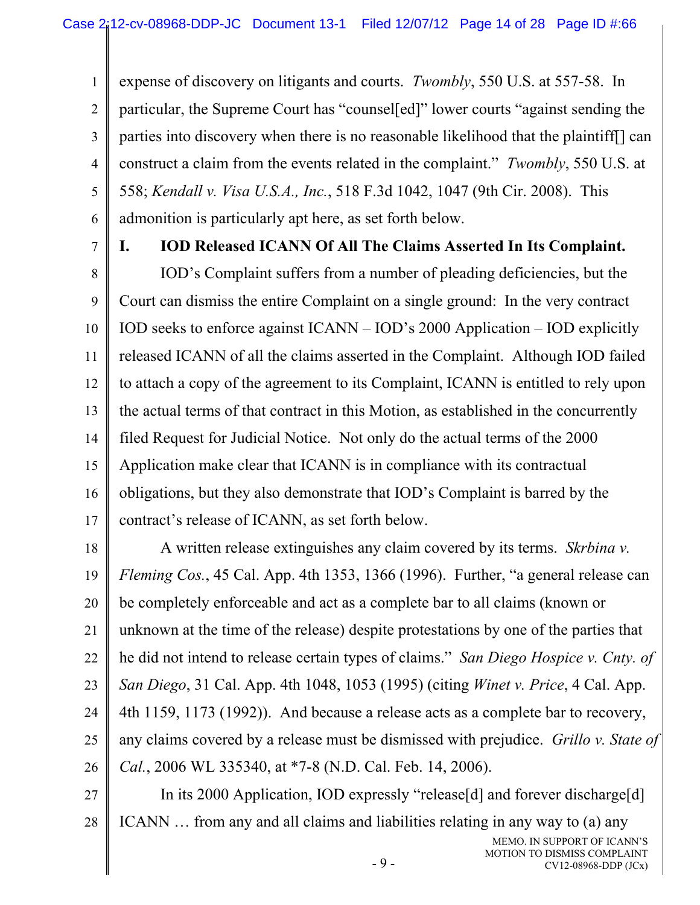1 2 3 4 5 6 expense of discovery on litigants and courts. *Twombly*, 550 U.S. at 557-58. In particular, the Supreme Court has "counsel[ed]" lower courts "against sending the parties into discovery when there is no reasonable likelihood that the plaintiff[] can construct a claim from the events related in the complaint." *Twombly*, 550 U.S. at 558; *Kendall v. Visa U.S.A., Inc.*, 518 F.3d 1042, 1047 (9th Cir. 2008). This admonition is particularly apt here, as set forth below.

7

#### **I. IOD Released ICANN Of All The Claims Asserted In Its Complaint.**

8 9 10 11 12 13 14 15 16 17 IOD's Complaint suffers from a number of pleading deficiencies, but the Court can dismiss the entire Complaint on a single ground: In the very contract IOD seeks to enforce against ICANN – IOD's 2000 Application – IOD explicitly released ICANN of all the claims asserted in the Complaint. Although IOD failed to attach a copy of the agreement to its Complaint, ICANN is entitled to rely upon the actual terms of that contract in this Motion, as established in the concurrently filed Request for Judicial Notice. Not only do the actual terms of the 2000 Application make clear that ICANN is in compliance with its contractual obligations, but they also demonstrate that IOD's Complaint is barred by the contract's release of ICANN, as set forth below.

18 19 20 21 22 23 24 25 26 A written release extinguishes any claim covered by its terms. *Skrbina v. Fleming Cos.*, 45 Cal. App. 4th 1353, 1366 (1996). Further, "a general release can be completely enforceable and act as a complete bar to all claims (known or unknown at the time of the release) despite protestations by one of the parties that he did not intend to release certain types of claims." *San Diego Hospice v. Cnty. of San Diego*, 31 Cal. App. 4th 1048, 1053 (1995) (citing *Winet v. Price*, 4 Cal. App. 4th 1159, 1173 (1992)). And because a release acts as a complete bar to recovery, any claims covered by a release must be dismissed with prejudice. *Grillo v. State of Cal.*, 2006 WL 335340, at \*7-8 (N.D. Cal. Feb. 14, 2006).

27 28 In its 2000 Application, IOD expressly "release[d] and forever discharge[d] ICANN … from any and all claims and liabilities relating in any way to (a) any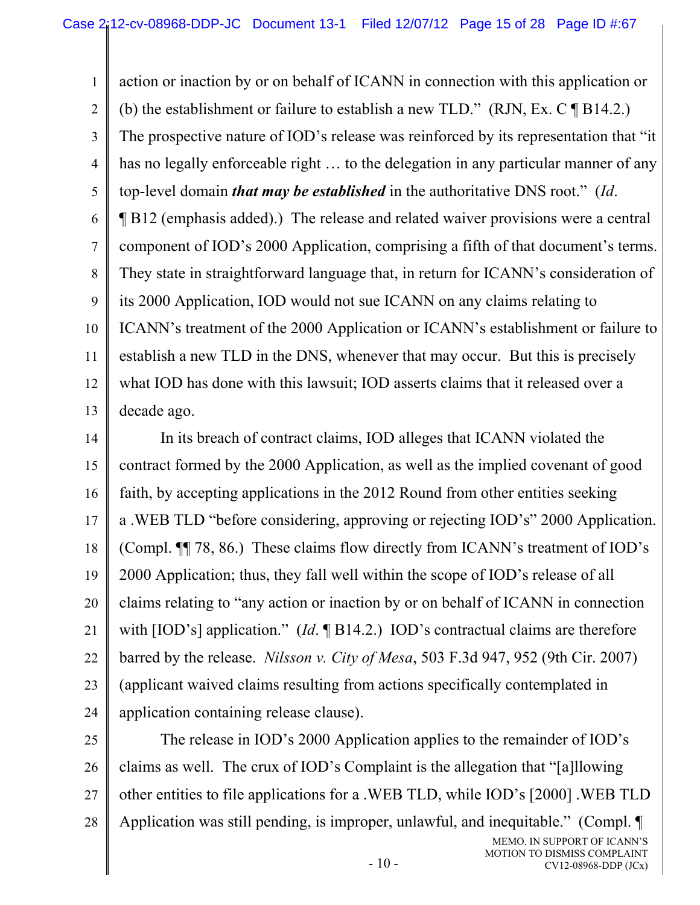1 2 3 4 5 6 7 8 9 10 11 12 13 action or inaction by or on behalf of ICANN in connection with this application or (b) the establishment or failure to establish a new TLD." (RJN, Ex. C  $\P$  B14.2.) The prospective nature of IOD's release was reinforced by its representation that "it has no legally enforceable right ... to the delegation in any particular manner of any top-level domain *that may be established* in the authoritative DNS root." (*Id*. ¶ B12 (emphasis added).) The release and related waiver provisions were a central component of IOD's 2000 Application, comprising a fifth of that document's terms. They state in straightforward language that, in return for ICANN's consideration of its 2000 Application, IOD would not sue ICANN on any claims relating to ICANN's treatment of the 2000 Application or ICANN's establishment or failure to establish a new TLD in the DNS, whenever that may occur. But this is precisely what IOD has done with this lawsuit; IOD asserts claims that it released over a decade ago.

14 15 16 17 18 19 20 21 22 23 24 In its breach of contract claims, IOD alleges that ICANN violated the contract formed by the 2000 Application, as well as the implied covenant of good faith, by accepting applications in the 2012 Round from other entities seeking a .WEB TLD "before considering, approving or rejecting IOD's" 2000 Application. (Compl. ¶¶ 78, 86.) These claims flow directly from ICANN's treatment of IOD's 2000 Application; thus, they fall well within the scope of IOD's release of all claims relating to "any action or inaction by or on behalf of ICANN in connection with [IOD's] application." *(Id.* ¶ B14.2.) IOD's contractual claims are therefore barred by the release. *Nilsson v. City of Mesa*, 503 F.3d 947, 952 (9th Cir. 2007) (applicant waived claims resulting from actions specifically contemplated in application containing release clause).

25 26 27 28 MEMO. IN SUPPORT OF ICANN'S MOTION TO DISMISS COMPLAINT The release in IOD's 2000 Application applies to the remainder of IOD's claims as well. The crux of IOD's Complaint is the allegation that "[a]llowing other entities to file applications for a .WEB TLD, while IOD's [2000] .WEB TLD Application was still pending, is improper, unlawful, and inequitable." (Compl. ¶

CV12-08968-DDP (JCx)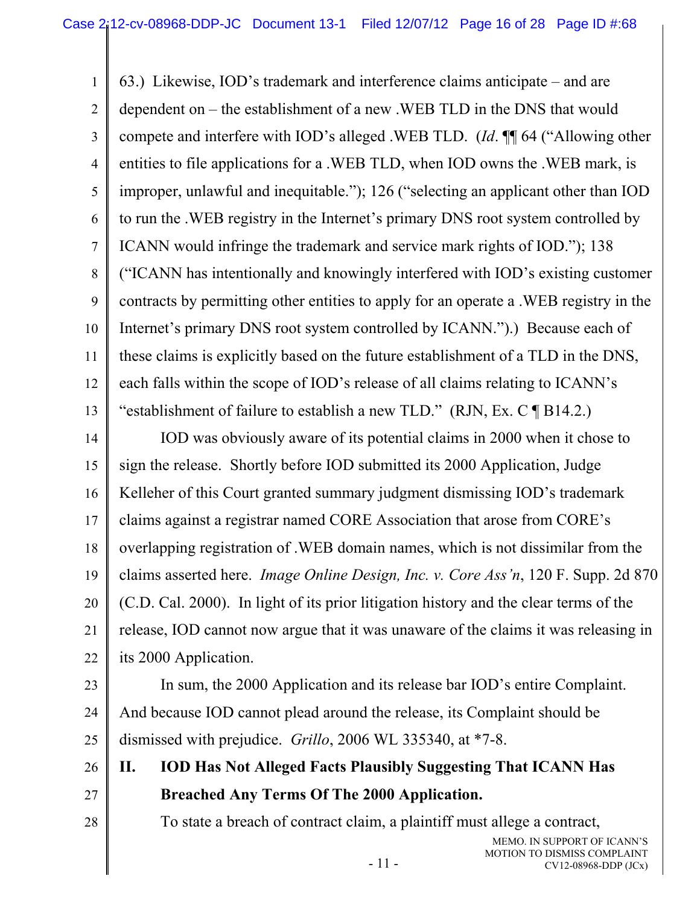1 2 3 4 5 6 7 8 9 10 11 12 13 63.) Likewise, IOD's trademark and interference claims anticipate – and are dependent on – the establishment of a new .WEB TLD in the DNS that would compete and interfere with IOD's alleged .WEB TLD. (*Id*. ¶¶ 64 ("Allowing other entities to file applications for a .WEB TLD, when IOD owns the .WEB mark, is improper, unlawful and inequitable."); 126 ("selecting an applicant other than IOD to run the .WEB registry in the Internet's primary DNS root system controlled by ICANN would infringe the trademark and service mark rights of IOD."); 138 ("ICANN has intentionally and knowingly interfered with IOD's existing customer contracts by permitting other entities to apply for an operate a .WEB registry in the Internet's primary DNS root system controlled by ICANN.").) Because each of these claims is explicitly based on the future establishment of a TLD in the DNS, each falls within the scope of IOD's release of all claims relating to ICANN's "establishment of failure to establish a new TLD." (RJN, Ex. C ¶ B14.2.)

14 15 16 17 18 19 20 21 22 IOD was obviously aware of its potential claims in 2000 when it chose to sign the release. Shortly before IOD submitted its 2000 Application, Judge Kelleher of this Court granted summary judgment dismissing IOD's trademark claims against a registrar named CORE Association that arose from CORE's overlapping registration of .WEB domain names, which is not dissimilar from the claims asserted here. *Image Online Design, Inc. v. Core Ass'n*, 120 F. Supp. 2d 870 (C.D. Cal. 2000). In light of its prior litigation history and the clear terms of the release, IOD cannot now argue that it was unaware of the claims it was releasing in its 2000 Application.

23

28

24 25 In sum, the 2000 Application and its release bar IOD's entire Complaint. And because IOD cannot plead around the release, its Complaint should be dismissed with prejudice. *Grillo*, 2006 WL 335340, at \*7-8.

- 26 27 **II. IOD Has Not Alleged Facts Plausibly Suggesting That ICANN Has Breached Any Terms Of The 2000 Application.** 
	- To state a breach of contract claim, a plaintiff must allege a contract,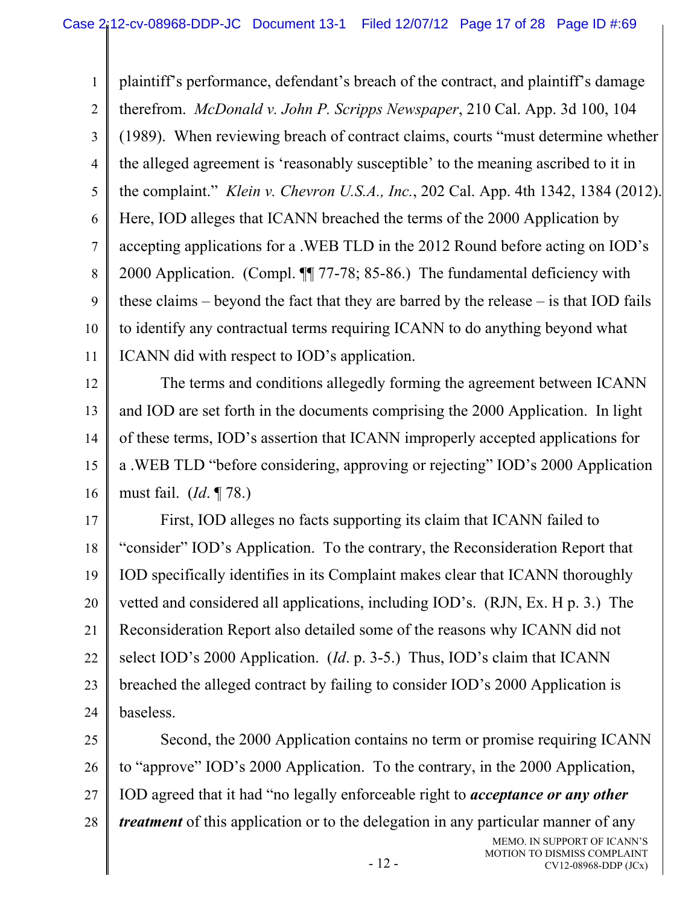1 2 3 4 5 6 7 8 9 10 11 plaintiff's performance, defendant's breach of the contract, and plaintiff's damage therefrom. *McDonald v. John P. Scripps Newspaper*, 210 Cal. App. 3d 100, 104 (1989). When reviewing breach of contract claims, courts "must determine whether the alleged agreement is 'reasonably susceptible' to the meaning ascribed to it in the complaint." *Klein v. Chevron U.S.A., Inc.*, 202 Cal. App. 4th 1342, 1384 (2012). Here, IOD alleges that ICANN breached the terms of the 2000 Application by accepting applications for a .WEB TLD in the 2012 Round before acting on IOD's 2000 Application. (Compl. ¶¶ 77-78; 85-86.) The fundamental deficiency with these claims – beyond the fact that they are barred by the release – is that IOD fails to identify any contractual terms requiring ICANN to do anything beyond what ICANN did with respect to IOD's application.

12 13 14 15 16 The terms and conditions allegedly forming the agreement between ICANN and IOD are set forth in the documents comprising the 2000 Application. In light of these terms, IOD's assertion that ICANN improperly accepted applications for a .WEB TLD "before considering, approving or rejecting" IOD's 2000 Application must fail. (*Id*. ¶ 78.)

17 18 19 20 21 22 23 24 First, IOD alleges no facts supporting its claim that ICANN failed to "consider" IOD's Application. To the contrary, the Reconsideration Report that IOD specifically identifies in its Complaint makes clear that ICANN thoroughly vetted and considered all applications, including IOD's. (RJN, Ex. H p. 3.) The Reconsideration Report also detailed some of the reasons why ICANN did not select IOD's 2000 Application. (*Id*. p. 3-5.) Thus, IOD's claim that ICANN breached the alleged contract by failing to consider IOD's 2000 Application is baseless.

25 26 27 28 MEMO. IN SUPPORT OF ICANN'S Second, the 2000 Application contains no term or promise requiring ICANN to "approve" IOD's 2000 Application. To the contrary, in the 2000 Application, IOD agreed that it had "no legally enforceable right to *acceptance or any other treatment* of this application or to the delegation in any particular manner of any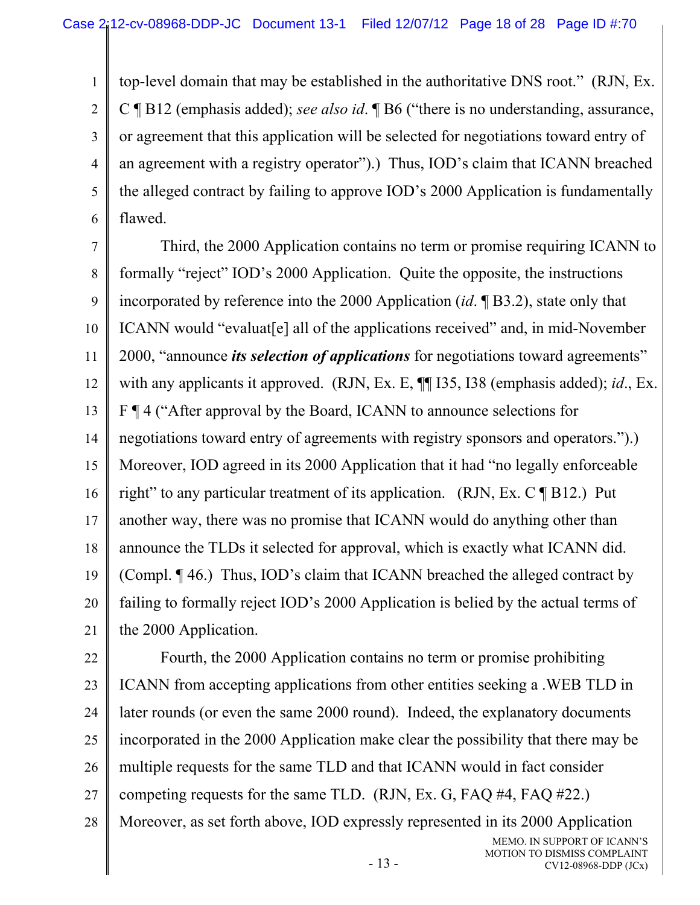1 2 3 4 5 6 top-level domain that may be established in the authoritative DNS root." (RJN, Ex. C ¶ B12 (emphasis added); *see also id*. ¶ B6 ("there is no understanding, assurance, or agreement that this application will be selected for negotiations toward entry of an agreement with a registry operator").) Thus, IOD's claim that ICANN breached the alleged contract by failing to approve IOD's 2000 Application is fundamentally flawed.

7 8 9 10 11 12 13 14 15 16 17 18 19 20 21 Third, the 2000 Application contains no term or promise requiring ICANN to formally "reject" IOD's 2000 Application. Quite the opposite, the instructions incorporated by reference into the 2000 Application (*id*. ¶ B3.2), state only that ICANN would "evaluat[e] all of the applications received" and, in mid-November 2000, "announce *its selection of applications* for negotiations toward agreements" with any applicants it approved. (RJN, Ex. E, ¶¶ I35, I38 (emphasis added); *id*., Ex. F ¶ 4 ("After approval by the Board, ICANN to announce selections for negotiations toward entry of agreements with registry sponsors and operators.").) Moreover, IOD agreed in its 2000 Application that it had "no legally enforceable right" to any particular treatment of its application. (RJN, Ex. C  $\P$  B12.) Put another way, there was no promise that ICANN would do anything other than announce the TLDs it selected for approval, which is exactly what ICANN did. (Compl. ¶ 46.) Thus, IOD's claim that ICANN breached the alleged contract by failing to formally reject IOD's 2000 Application is belied by the actual terms of the 2000 Application.

22 23 24 25 26 27 28 MEMO. IN SUPPORT OF ICANN'S Fourth, the 2000 Application contains no term or promise prohibiting ICANN from accepting applications from other entities seeking a .WEB TLD in later rounds (or even the same 2000 round). Indeed, the explanatory documents incorporated in the 2000 Application make clear the possibility that there may be multiple requests for the same TLD and that ICANN would in fact consider competing requests for the same TLD. (RJN, Ex. G, FAQ #4, FAQ #22.) Moreover, as set forth above, IOD expressly represented in its 2000 Application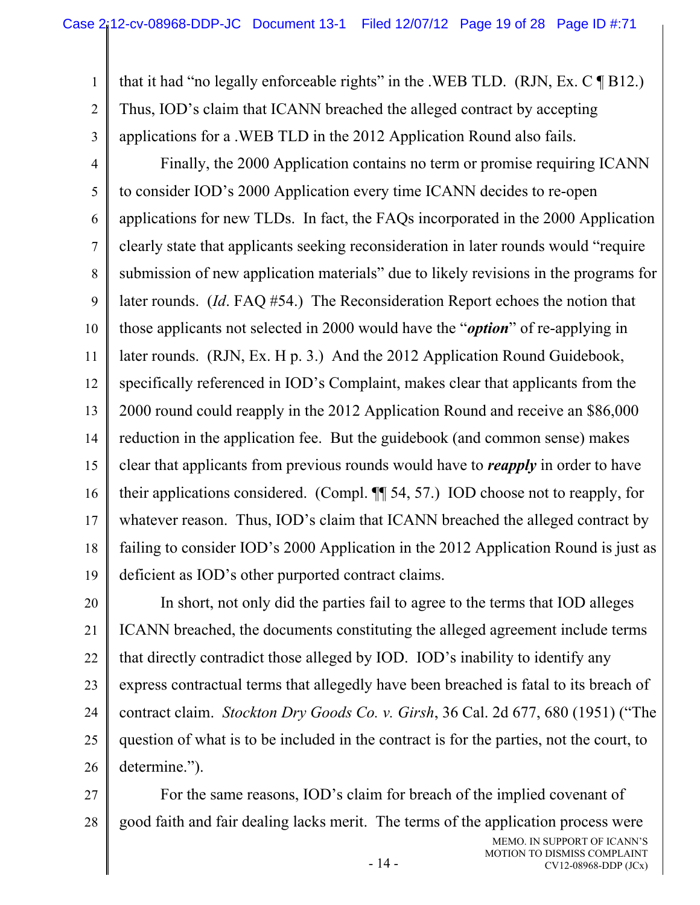1 2 3 that it had "no legally enforceable rights" in the .WEB TLD. (RJN, Ex.  $C \P B12$ .) Thus, IOD's claim that ICANN breached the alleged contract by accepting applications for a .WEB TLD in the 2012 Application Round also fails.

4 5 6 7 8 9 10 11 12 13 14 15 16 17 18 19 Finally, the 2000 Application contains no term or promise requiring ICANN to consider IOD's 2000 Application every time ICANN decides to re-open applications for new TLDs. In fact, the FAQs incorporated in the 2000 Application clearly state that applicants seeking reconsideration in later rounds would "require submission of new application materials" due to likely revisions in the programs for later rounds. (*Id*. FAQ #54.) The Reconsideration Report echoes the notion that those applicants not selected in 2000 would have the "*option*" of re-applying in later rounds. (RJN, Ex. H p. 3.) And the 2012 Application Round Guidebook, specifically referenced in IOD's Complaint, makes clear that applicants from the 2000 round could reapply in the 2012 Application Round and receive an \$86,000 reduction in the application fee. But the guidebook (and common sense) makes clear that applicants from previous rounds would have to *reapply* in order to have their applications considered. (Compl. ¶¶ 54, 57.) IOD choose not to reapply, for whatever reason. Thus, IOD's claim that ICANN breached the alleged contract by failing to consider IOD's 2000 Application in the 2012 Application Round is just as deficient as IOD's other purported contract claims.

20 21 22 23 24 25 26 In short, not only did the parties fail to agree to the terms that IOD alleges ICANN breached, the documents constituting the alleged agreement include terms that directly contradict those alleged by IOD. IOD's inability to identify any express contractual terms that allegedly have been breached is fatal to its breach of contract claim. *Stockton Dry Goods Co. v. Girsh*, 36 Cal. 2d 677, 680 (1951) ("The question of what is to be included in the contract is for the parties, not the court, to determine.").

27 28 For the same reasons, IOD's claim for breach of the implied covenant of good faith and fair dealing lacks merit. The terms of the application process were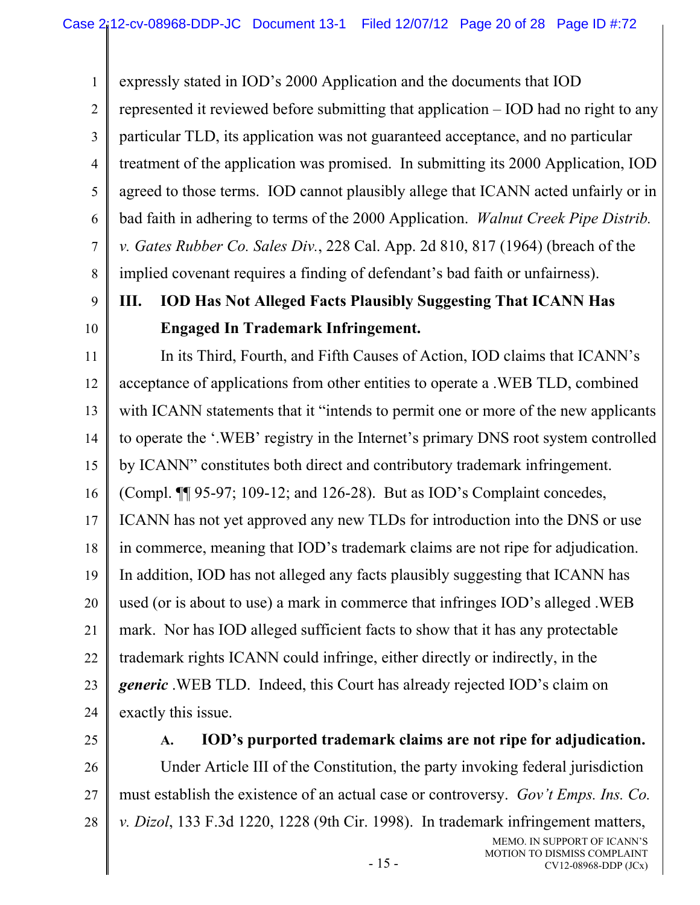expressly stated in IOD's 2000 Application and the documents that IOD represented it reviewed before submitting that application – IOD had no right to any

2 3 4 5 6 7 8 particular TLD, its application was not guaranteed acceptance, and no particular treatment of the application was promised. In submitting its 2000 Application, IOD agreed to those terms. IOD cannot plausibly allege that ICANN acted unfairly or in bad faith in adhering to terms of the 2000 Application. *Walnut Creek Pipe Distrib. v. Gates Rubber Co. Sales Div.*, 228 Cal. App. 2d 810, 817 (1964) (breach of the implied covenant requires a finding of defendant's bad faith or unfairness).

9 10

1

# **III. IOD Has Not Alleged Facts Plausibly Suggesting That ICANN Has Engaged In Trademark Infringement.**

11 12 13 14 15 16 17 18 19 20 In its Third, Fourth, and Fifth Causes of Action, IOD claims that ICANN's acceptance of applications from other entities to operate a .WEB TLD, combined with ICANN statements that it "intends to permit one or more of the new applicants to operate the '.WEB' registry in the Internet's primary DNS root system controlled by ICANN" constitutes both direct and contributory trademark infringement. (Compl. ¶¶ 95-97; 109-12; and 126-28). But as IOD's Complaint concedes, ICANN has not yet approved any new TLDs for introduction into the DNS or use in commerce, meaning that IOD's trademark claims are not ripe for adjudication. In addition, IOD has not alleged any facts plausibly suggesting that ICANN has used (or is about to use) a mark in commerce that infringes IOD's alleged .WEB

21 22 23 24 mark. Nor has IOD alleged sufficient facts to show that it has any protectable trademark rights ICANN could infringe, either directly or indirectly, in the *generic* .WEB TLD. Indeed, this Court has already rejected IOD's claim on exactly this issue.

25

# **A. IOD's purported trademark claims are not ripe for adjudication.**

26 27 28 Under Article III of the Constitution, the party invoking federal jurisdiction must establish the existence of an actual case or controversy. *Gov't Emps. Ins. Co. v. Dizol*, 133 F.3d 1220, 1228 (9th Cir. 1998). In trademark infringement matters,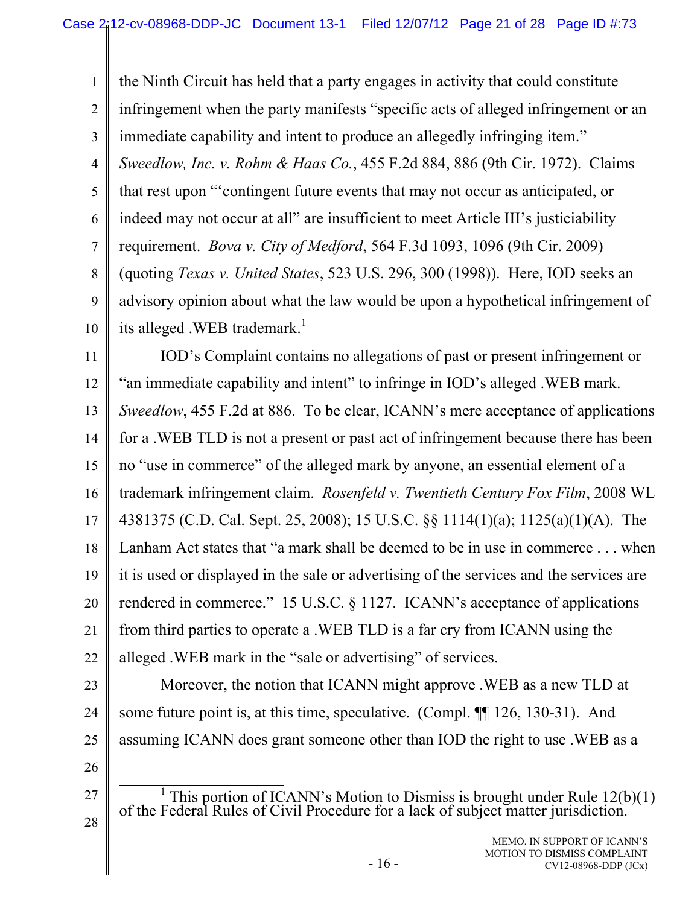1 2 3 4 5 6 7 8 9 10 the Ninth Circuit has held that a party engages in activity that could constitute infringement when the party manifests "specific acts of alleged infringement or an immediate capability and intent to produce an allegedly infringing item." *Sweedlow, Inc. v. Rohm & Haas Co.*, 455 F.2d 884, 886 (9th Cir. 1972). Claims that rest upon "'contingent future events that may not occur as anticipated, or indeed may not occur at all" are insufficient to meet Article III's justiciability requirement. *Bova v. City of Medford*, 564 F.3d 1093, 1096 (9th Cir. 2009) (quoting *Texas v. United States*, 523 U.S. 296, 300 (1998)). Here, IOD seeks an advisory opinion about what the law would be upon a hypothetical infringement of its alleged .WEB trademark.<sup>1</sup>

11 12 13 14 15 16 17 18 19 20 21 22 IOD's Complaint contains no allegations of past or present infringement or "an immediate capability and intent" to infringe in IOD's alleged .WEB mark. *Sweedlow*, 455 F.2d at 886. To be clear, ICANN's mere acceptance of applications for a .WEB TLD is not a present or past act of infringement because there has been no "use in commerce" of the alleged mark by anyone, an essential element of a trademark infringement claim. *Rosenfeld v. Twentieth Century Fox Film*, 2008 WL 4381375 (C.D. Cal. Sept. 25, 2008); 15 U.S.C. §§ 1114(1)(a); 1125(a)(1)(A). The Lanham Act states that "a mark shall be deemed to be in use in commerce . . . when it is used or displayed in the sale or advertising of the services and the services are rendered in commerce." 15 U.S.C. § 1127. ICANN's acceptance of applications from third parties to operate a .WEB TLD is a far cry from ICANN using the alleged .WEB mark in the "sale or advertising" of services.

23

24

25

Moreover, the notion that ICANN might approve .WEB as a new TLD at some future point is, at this time, speculative. (Compl. ¶ 126, 130-31). And assuming ICANN does grant someone other than IOD the right to use .WEB as a

26

27

28

<sup>&</sup>lt;u>1</u> <sup>1</sup> This portion of ICANN's Motion to Dismiss is brought under Rule  $12(b)(1)$  of the Federal Rules of Civil Procedure for a lack of subject matter jurisdiction.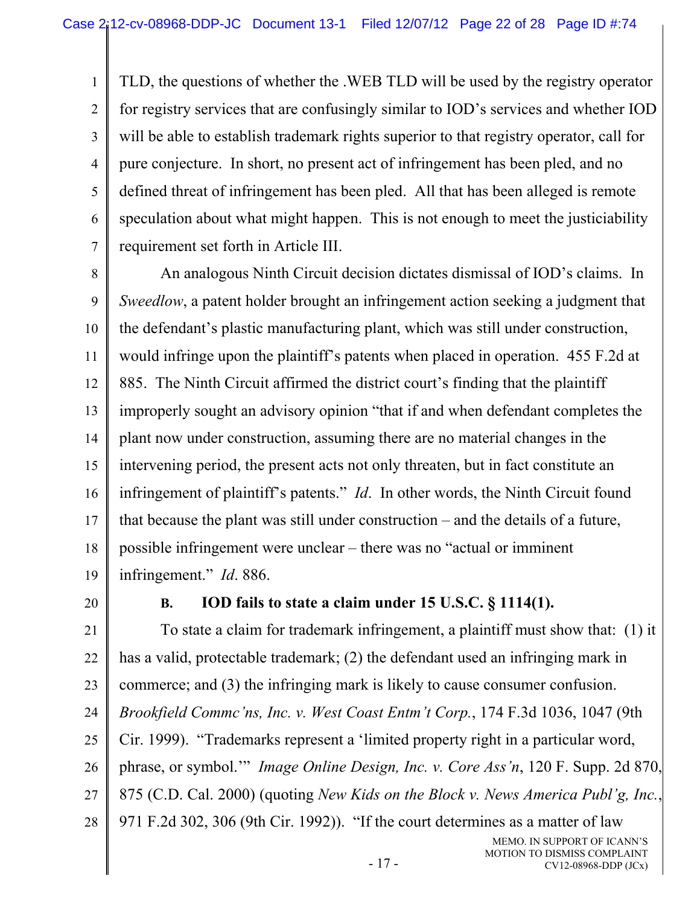TLD, the questions of whether the .WEB TLD will be used by the registry operator for registry services that are confusingly similar to IOD's services and whether IOD will be able to establish trademark rights superior to that registry operator, call for pure conjecture. In short, no present act of infringement has been pled, and no defined threat of infringement has been pled. All that has been alleged is remote speculation about what might happen. This is not enough to meet the justiciability requirement set forth in Article III.

8 9 10 11 12 13 14 15 16 17 18 19 An analogous Ninth Circuit decision dictates dismissal of IOD's claims. In *Sweedlow*, a patent holder brought an infringement action seeking a judgment that the defendant's plastic manufacturing plant, which was still under construction, would infringe upon the plaintiff's patents when placed in operation. 455 F.2d at 885. The Ninth Circuit affirmed the district court's finding that the plaintiff improperly sought an advisory opinion "that if and when defendant completes the plant now under construction, assuming there are no material changes in the intervening period, the present acts not only threaten, but in fact constitute an infringement of plaintiff's patents." *Id*. In other words, the Ninth Circuit found that because the plant was still under construction – and the details of a future, possible infringement were unclear – there was no "actual or imminent infringement." *Id*. 886.

20

1

2

3

4

5

6

7

# **B. IOD fails to state a claim under 15 U.S.C. § 1114(1).**

21 22 23 24 25 26 27 28 To state a claim for trademark infringement, a plaintiff must show that: (1) it has a valid, protectable trademark; (2) the defendant used an infringing mark in commerce; and (3) the infringing mark is likely to cause consumer confusion. *Brookfield Commc'ns, Inc. v. West Coast Entm't Corp.*, 174 F.3d 1036, 1047 (9th Cir. 1999). "Trademarks represent a 'limited property right in a particular word, phrase, or symbol.'" *Image Online Design, Inc. v. Core Ass'n*, 120 F. Supp. 2d 870, 875 (C.D. Cal. 2000) (quoting *New Kids on the Block v. News America Publ'g, Inc.*, 971 F.2d 302, 306 (9th Cir. 1992)). "If the court determines as a matter of law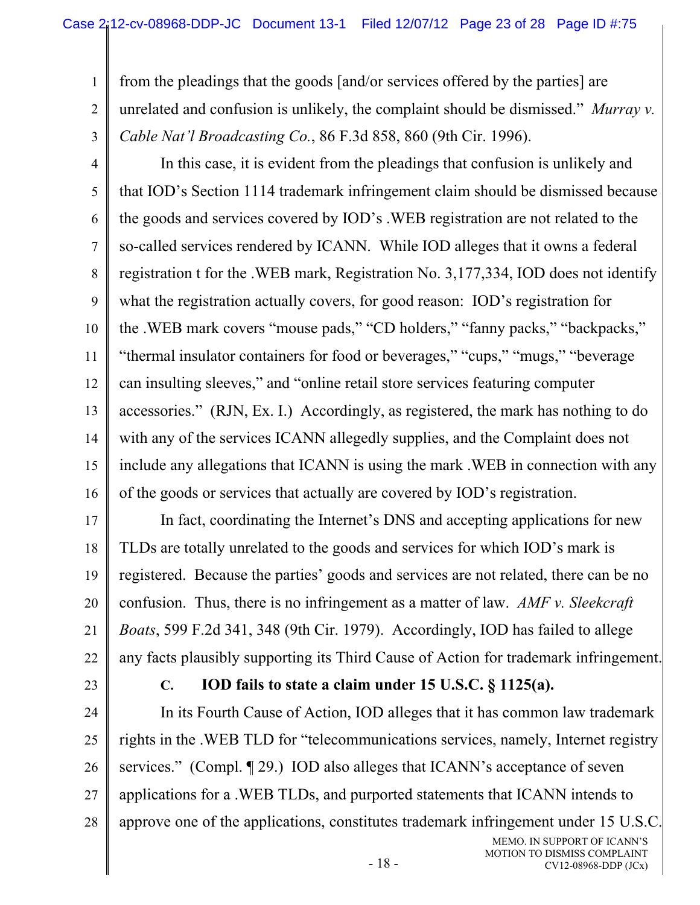from the pleadings that the goods [and/or services offered by the parties] are unrelated and confusion is unlikely, the complaint should be dismissed." *Murray v. Cable Nat'l Broadcasting Co.*, 86 F.3d 858, 860 (9th Cir. 1996).

4 5 6 7 8 9 10 11 12 13 14 15 16 In this case, it is evident from the pleadings that confusion is unlikely and that IOD's Section 1114 trademark infringement claim should be dismissed because the goods and services covered by IOD's .WEB registration are not related to the so-called services rendered by ICANN. While IOD alleges that it owns a federal registration t for the .WEB mark, Registration No. 3,177,334, IOD does not identify what the registration actually covers, for good reason: IOD's registration for the .WEB mark covers "mouse pads," "CD holders," "fanny packs," "backpacks," "thermal insulator containers for food or beverages," "cups," "mugs," "beverage can insulting sleeves," and "online retail store services featuring computer accessories." (RJN, Ex. I.) Accordingly, as registered, the mark has nothing to do with any of the services ICANN allegedly supplies, and the Complaint does not include any allegations that ICANN is using the mark .WEB in connection with any of the goods or services that actually are covered by IOD's registration.

17 18 19 20 21 22 In fact, coordinating the Internet's DNS and accepting applications for new TLDs are totally unrelated to the goods and services for which IOD's mark is registered. Because the parties' goods and services are not related, there can be no confusion. Thus, there is no infringement as a matter of law. *AMF v. Sleekcraft Boats*, 599 F.2d 341, 348 (9th Cir. 1979). Accordingly, IOD has failed to allege any facts plausibly supporting its Third Cause of Action for trademark infringement.

23

1

2

3

# **C. IOD fails to state a claim under 15 U.S.C. § 1125(a).**

24 25 26 27 28 In its Fourth Cause of Action, IOD alleges that it has common law trademark rights in the .WEB TLD for "telecommunications services, namely, Internet registry services." (Compl. 1929.) IOD also alleges that ICANN's acceptance of seven applications for a .WEB TLDs, and purported statements that ICANN intends to approve one of the applications, constitutes trademark infringement under 15 U.S.C.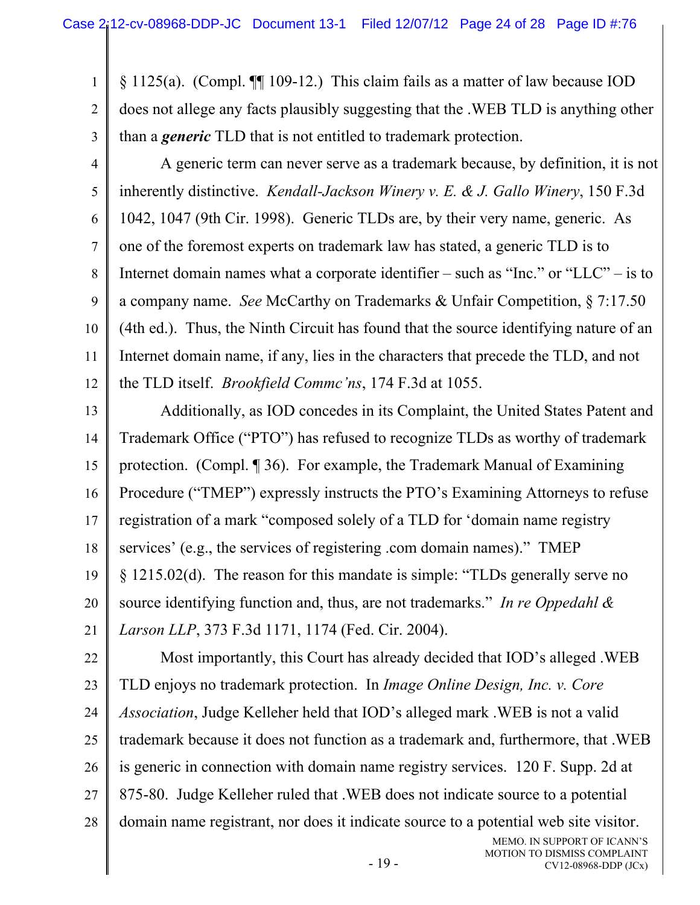1 2 3 § 1125(a). (Compl. ¶¶ 109-12.) This claim fails as a matter of law because IOD does not allege any facts plausibly suggesting that the .WEB TLD is anything other than a *generic* TLD that is not entitled to trademark protection.

4 5 6 7 8 9 10 11 12 A generic term can never serve as a trademark because, by definition, it is not inherently distinctive. *Kendall-Jackson Winery v. E. & J. Gallo Winery*, 150 F.3d 1042, 1047 (9th Cir. 1998). Generic TLDs are, by their very name, generic. As one of the foremost experts on trademark law has stated, a generic TLD is to Internet domain names what a corporate identifier – such as "Inc." or "LLC" – is to a company name. *See* McCarthy on Trademarks & Unfair Competition, § 7:17.50 (4th ed.). Thus, the Ninth Circuit has found that the source identifying nature of an Internet domain name, if any, lies in the characters that precede the TLD, and not the TLD itself. *Brookfield Commc'ns*, 174 F.3d at 1055.

13 14 15 16 17 18 19 20 21 Additionally, as IOD concedes in its Complaint, the United States Patent and Trademark Office ("PTO") has refused to recognize TLDs as worthy of trademark protection. (Compl. ¶ 36). For example, the Trademark Manual of Examining Procedure ("TMEP") expressly instructs the PTO's Examining Attorneys to refuse registration of a mark "composed solely of a TLD for 'domain name registry services' (e.g., the services of registering .com domain names)." TMEP § 1215.02(d). The reason for this mandate is simple: "TLDs generally serve no source identifying function and, thus, are not trademarks." *In re Oppedahl & Larson LLP*, 373 F.3d 1171, 1174 (Fed. Cir. 2004).

22 23 24 25 26 27 28 Most importantly, this Court has already decided that IOD's alleged .WEB TLD enjoys no trademark protection. In *Image Online Design, Inc. v. Core Association*, Judge Kelleher held that IOD's alleged mark .WEB is not a valid trademark because it does not function as a trademark and, furthermore, that .WEB is generic in connection with domain name registry services. 120 F. Supp. 2d at 875-80. Judge Kelleher ruled that .WEB does not indicate source to a potential domain name registrant, nor does it indicate source to a potential web site visitor.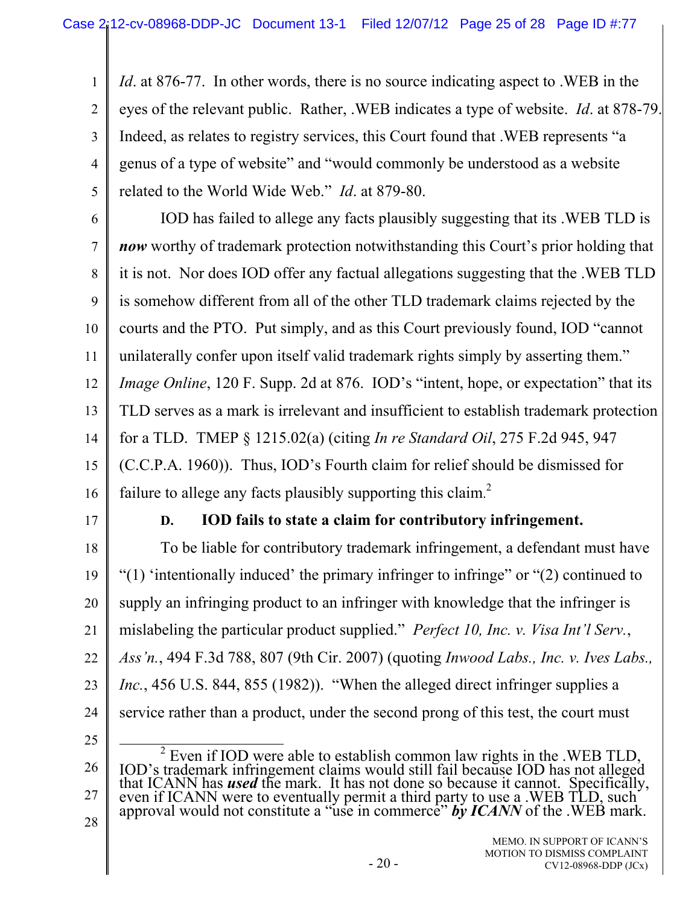*Id*. at 876-77. In other words, there is no source indicating aspect to .WEB in the eyes of the relevant public. Rather, .WEB indicates a type of website. *Id*. at 878-79. Indeed, as relates to registry services, this Court found that .WEB represents "a genus of a type of website" and "would commonly be understood as a website related to the World Wide Web." *Id*. at 879-80.

6

1

2

3

4

5

7 8 9 10 11 12 13 14 15 16 IOD has failed to allege any facts plausibly suggesting that its .WEB TLD is *now* worthy of trademark protection notwithstanding this Court's prior holding that it is not. Nor does IOD offer any factual allegations suggesting that the .WEB TLD is somehow different from all of the other TLD trademark claims rejected by the courts and the PTO. Put simply, and as this Court previously found, IOD "cannot unilaterally confer upon itself valid trademark rights simply by asserting them." *Image Online*, 120 F. Supp. 2d at 876. IOD's "intent, hope, or expectation" that its TLD serves as a mark is irrelevant and insufficient to establish trademark protection for a TLD. TMEP § 1215.02(a) (citing *In re Standard Oil*, 275 F.2d 945, 947 (C.C.P.A. 1960)). Thus, IOD's Fourth claim for relief should be dismissed for failure to allege any facts plausibly supporting this claim.<sup>2</sup>

17

### **D. IOD fails to state a claim for contributory infringement.**

18 19 20 21 22 23 24 To be liable for contributory trademark infringement, a defendant must have "(1) 'intentionally induced' the primary infringer to infringe" or "(2) continued to supply an infringing product to an infringer with knowledge that the infringer is mislabeling the particular product supplied." *Perfect 10, Inc. v. Visa Int'l Serv.*, *Ass'n.*, 494 F.3d 788, 807 (9th Cir. 2007) (quoting *Inwood Labs., Inc. v. Ives Labs., Inc.*, 456 U.S. 844, 855 (1982)). "When the alleged direct infringer supplies a service rather than a product, under the second prong of this test, the court must

25

26

27

28

 2 <sup>2</sup> Even if IOD were able to establish common law rights in the .WEB TLD, IOD's trademark infringement claims would still fail because IOD has not alleged that ICANN has **used** the mark. It has not done so because it cann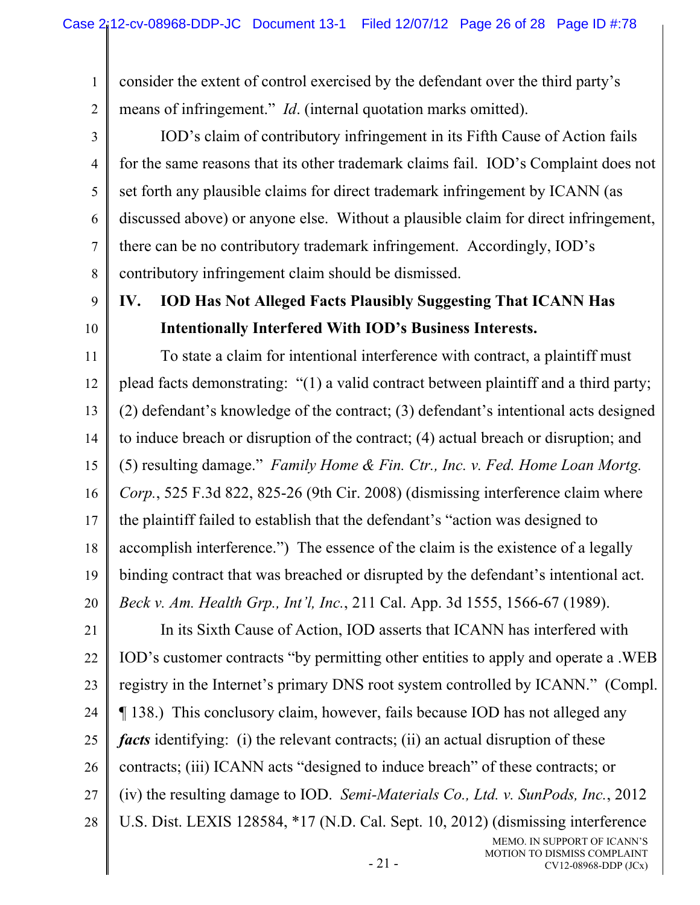consider the extent of control exercised by the defendant over the third party's means of infringement." *Id*. (internal quotation marks omitted).

IOD's claim of contributory infringement in its Fifth Cause of Action fails for the same reasons that its other trademark claims fail. IOD's Complaint does not set forth any plausible claims for direct trademark infringement by ICANN (as discussed above) or anyone else. Without a plausible claim for direct infringement, there can be no contributory trademark infringement. Accordingly, IOD's contributory infringement claim should be dismissed.

9 10

1

2

3

4

5

6

7

8

# **IV. IOD Has Not Alleged Facts Plausibly Suggesting That ICANN Has Intentionally Interfered With IOD's Business Interests.**

11 12 13 14 15 16 17 18 19 20 To state a claim for intentional interference with contract, a plaintiff must plead facts demonstrating: "(1) a valid contract between plaintiff and a third party; (2) defendant's knowledge of the contract; (3) defendant's intentional acts designed to induce breach or disruption of the contract; (4) actual breach or disruption; and (5) resulting damage." *Family Home & Fin. Ctr., Inc. v. Fed. Home Loan Mortg. Corp.*, 525 F.3d 822, 825-26 (9th Cir. 2008) (dismissing interference claim where the plaintiff failed to establish that the defendant's "action was designed to accomplish interference.") The essence of the claim is the existence of a legally binding contract that was breached or disrupted by the defendant's intentional act. *Beck v. Am. Health Grp., Int'l, Inc.*, 211 Cal. App. 3d 1555, 1566-67 (1989).

21 22 23 24 25 26 27 28 MEMO. IN SUPPORT OF ICANN'S In its Sixth Cause of Action, IOD asserts that ICANN has interfered with IOD's customer contracts "by permitting other entities to apply and operate a .WEB registry in the Internet's primary DNS root system controlled by ICANN." (Compl. ¶ 138.) This conclusory claim, however, fails because IOD has not alleged any *facts* identifying: (i) the relevant contracts; (ii) an actual disruption of these contracts; (iii) ICANN acts "designed to induce breach" of these contracts; or (iv) the resulting damage to IOD. *Semi-Materials Co., Ltd. v. SunPods, Inc.*, 2012 U.S. Dist. LEXIS 128584, \*17 (N.D. Cal. Sept. 10, 2012) (dismissing interference

MOTION TO DISMISS COMPLAINT

CV12-08968-DDP (JCx)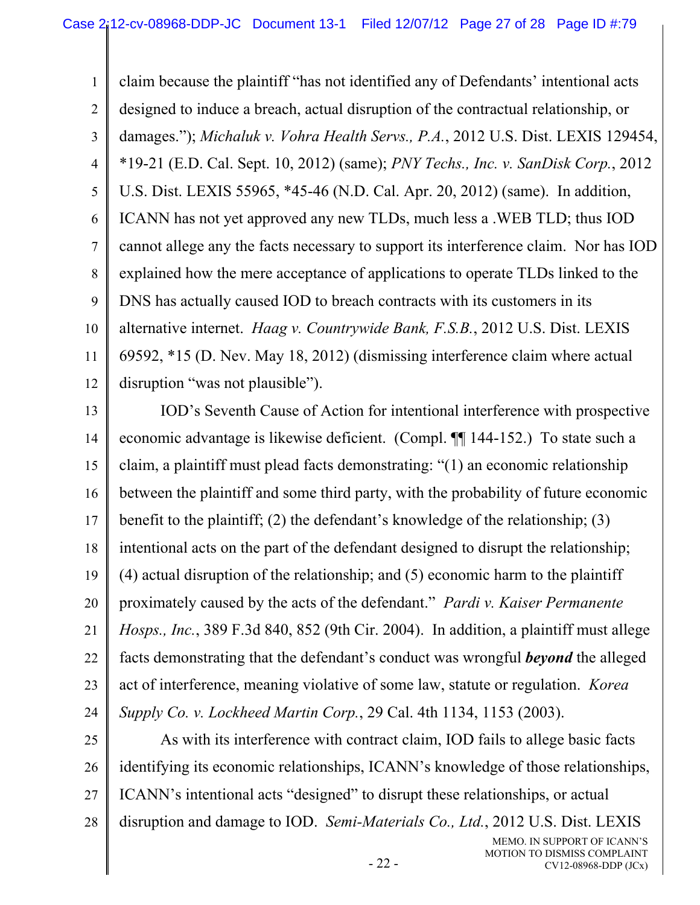1 2 3 4 5 6 7 8 9 10 11 12 claim because the plaintiff "has not identified any of Defendants' intentional acts designed to induce a breach, actual disruption of the contractual relationship, or damages."); *Michaluk v. Vohra Health Servs., P.A.*, 2012 U.S. Dist. LEXIS 129454, \*19-21 (E.D. Cal. Sept. 10, 2012) (same); *PNY Techs., Inc. v. SanDisk Corp.*, 2012 U.S. Dist. LEXIS 55965, \*45-46 (N.D. Cal. Apr. 20, 2012) (same). In addition, ICANN has not yet approved any new TLDs, much less a .WEB TLD; thus IOD cannot allege any the facts necessary to support its interference claim. Nor has IOD explained how the mere acceptance of applications to operate TLDs linked to the DNS has actually caused IOD to breach contracts with its customers in its alternative internet. *Haag v. Countrywide Bank, F.S.B.*, 2012 U.S. Dist. LEXIS 69592, \*15 (D. Nev. May 18, 2012) (dismissing interference claim where actual disruption "was not plausible").

13 14 15 16 17 18 19 20 21 22 23 24 IOD's Seventh Cause of Action for intentional interference with prospective economic advantage is likewise deficient. (Compl. ¶¶ 144-152.) To state such a claim, a plaintiff must plead facts demonstrating: "(1) an economic relationship between the plaintiff and some third party, with the probability of future economic benefit to the plaintiff; (2) the defendant's knowledge of the relationship; (3) intentional acts on the part of the defendant designed to disrupt the relationship; (4) actual disruption of the relationship; and (5) economic harm to the plaintiff proximately caused by the acts of the defendant." *Pardi v. Kaiser Permanente Hosps., Inc.*, 389 F.3d 840, 852 (9th Cir. 2004). In addition, a plaintiff must allege facts demonstrating that the defendant's conduct was wrongful *beyond* the alleged act of interference, meaning violative of some law, statute or regulation. *Korea Supply Co. v. Lockheed Martin Corp.*, 29 Cal. 4th 1134, 1153 (2003).

25 26 27 28 As with its interference with contract claim, IOD fails to allege basic facts identifying its economic relationships, ICANN's knowledge of those relationships, ICANN's intentional acts "designed" to disrupt these relationships, or actual disruption and damage to IOD. *Semi-Materials Co., Ltd.*, 2012 U.S. Dist. LEXIS